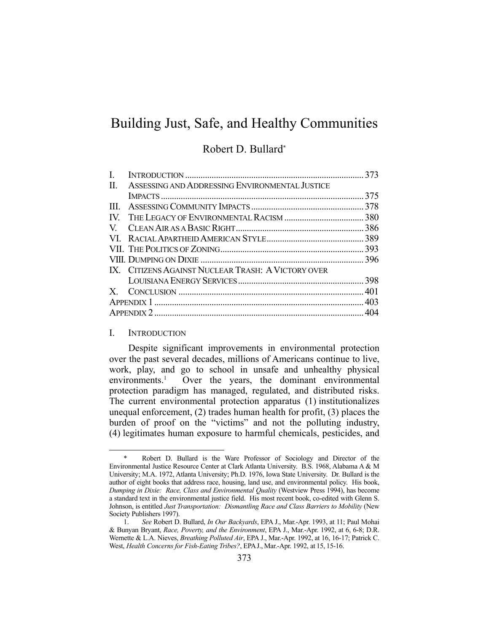# Building Just, Safe, and Healthy Communities

## Robert D. Bullard\*

| L.           |                                                    |  |
|--------------|----------------------------------------------------|--|
| $\Pi$ .      | ASSESSING AND ADDRESSING ENVIRONMENTAL JUSTICE     |  |
|              |                                                    |  |
| $\mathbf{H}$ |                                                    |  |
|              |                                                    |  |
|              |                                                    |  |
|              |                                                    |  |
|              |                                                    |  |
|              |                                                    |  |
|              | IX. CITIZENS AGAINST NUCLEAR TRASH: A VICTORY OVER |  |
|              |                                                    |  |
|              |                                                    |  |
|              |                                                    |  |
|              |                                                    |  |

#### I. INTRODUCTION

<u>.</u>

 Despite significant improvements in environmental protection over the past several decades, millions of Americans continue to live, work, play, and go to school in unsafe and unhealthy physical environments.<sup>1</sup> Over the years, the dominant environmental protection paradigm has managed, regulated, and distributed risks. The current environmental protection apparatus (1) institutionalizes unequal enforcement, (2) trades human health for profit, (3) places the burden of proof on the "victims" and not the polluting industry, (4) legitimates human exposure to harmful chemicals, pesticides, and

Robert D. Bullard is the Ware Professor of Sociology and Director of the Environmental Justice Resource Center at Clark Atlanta University. B.S. 1968, Alabama A & M University; M.A. 1972, Atlanta University; Ph.D. 1976, Iowa State University. Dr. Bullard is the author of eight books that address race, housing, land use, and environmental policy. His book, *Dumping in Dixie: Race, Class and Environmental Quality* (Westview Press 1994), has become a standard text in the environmental justice field. His most recent book, co-edited with Glenn S. Johnson, is entitled *Just Transportation: Dismantling Race and Class Barriers to Mobility* (New Society Publishers 1997).

 <sup>1.</sup> *See* Robert D. Bullard, *In Our Backyards*, EPA J., Mar.-Apr. 1993, at 11; Paul Mohai & Bunyan Bryant, *Race, Poverty, and the Environment*, EPA J., Mar.-Apr. 1992, at 6, 6-8; D.R. Wernette & L.A. Nieves, *Breathing Polluted Air*, EPA J., Mar.-Apr. 1992, at 16, 16-17; Patrick C. West, *Health Concerns for Fish-Eating Tribes?*, EPAJ., Mar.-Apr. 1992, at 15, 15-16.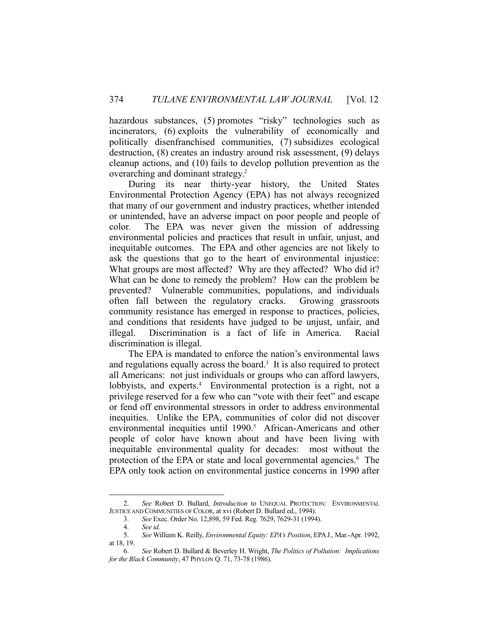hazardous substances, (5) promotes "risky" technologies such as incinerators, (6) exploits the vulnerability of economically and politically disenfranchised communities, (7) subsidizes ecological destruction, (8) creates an industry around risk assessment, (9) delays cleanup actions, and (10) fails to develop pollution prevention as the overarching and dominant strategy.<sup>2</sup>

 During its near thirty-year history, the United States Environmental Protection Agency (EPA) has not always recognized that many of our government and industry practices, whether intended or unintended, have an adverse impact on poor people and people of color. The EPA was never given the mission of addressing environmental policies and practices that result in unfair, unjust, and inequitable outcomes. The EPA and other agencies are not likely to ask the questions that go to the heart of environmental injustice: What groups are most affected? Why are they affected? Who did it? What can be done to remedy the problem? How can the problem be prevented? Vulnerable communities, populations, and individuals often fall between the regulatory cracks. Growing grassroots community resistance has emerged in response to practices, policies, and conditions that residents have judged to be unjust, unfair, and illegal. Discrimination is a fact of life in America. Racial discrimination is illegal.

 The EPA is mandated to enforce the nation's environmental laws and regulations equally across the board. $3$  It is also required to protect all Americans: not just individuals or groups who can afford lawyers, lobbyists, and experts.<sup>4</sup> Environmental protection is a right, not a privilege reserved for a few who can "vote with their feet" and escape or fend off environmental stressors in order to address environmental inequities. Unlike the EPA, communities of color did not discover environmental inequities until 1990.<sup>5</sup> African-Americans and other people of color have known about and have been living with inequitable environmental quality for decades: most without the protection of the EPA or state and local governmental agencies.<sup>6</sup> The EPA only took action on environmental justice concerns in 1990 after

 <sup>2.</sup> *See* Robert D. Bullard, *Introduction* to UNEQUAL PROTECTION: ENVIRONMENTAL JUSTICE AND COMMUNITIES OF COLOR, at xvi (Robert D. Bullard ed., 1994).

 <sup>3.</sup> *See* Exec. Order No. 12,898, 59 Fed. Reg. 7629, 7629-31 (1994).

 <sup>4.</sup> *See id.* 

 <sup>5.</sup> *See* William K. Reilly, *Environmental Equity: EPA's Position*, EPAJ., Mar.-Apr. 1992, at 18, 19.

 <sup>6.</sup> *See* Robert D. Bullard & Beverley H. Wright, *The Politics of Pollution: Implications for the Black Community*, 47 PHYLON Q. 71, 73-78 (1986).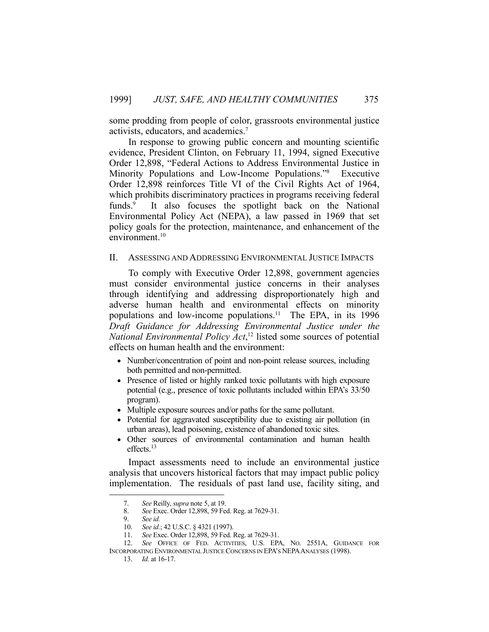some prodding from people of color, grassroots environmental justice activists, educators, and academics.7

 In response to growing public concern and mounting scientific evidence, President Clinton, on February 11, 1994, signed Executive Order 12,898, "Federal Actions to Address Environmental Justice in Minority Populations and Low-Income Populations."8 Executive Order 12,898 reinforces Title VI of the Civil Rights Act of 1964, which prohibits discriminatory practices in programs receiving federal funds.<sup>9</sup> It also focuses the spotlight back on the National Environmental Policy Act (NEPA), a law passed in 1969 that set policy goals for the protection, maintenance, and enhancement of the environment.<sup>10</sup>

### II. ASSESSING AND ADDRESSING ENVIRONMENTAL JUSTICE IMPACTS

 To comply with Executive Order 12,898, government agencies must consider environmental justice concerns in their analyses through identifying and addressing disproportionately high and adverse human health and environmental effects on minority populations and low-income populations.11 The EPA, in its 1996 *Draft Guidance for Addressing Environmental Justice under the National Environmental Policy Act*, 12 listed some sources of potential effects on human health and the environment:

- Number/concentration of point and non-point release sources, including both permitted and non-permitted.
- Presence of listed or highly ranked toxic pollutants with high exposure potential (e.g., presence of toxic pollutants included within EPA's 33/50 program).
- Multiple exposure sources and/or paths for the same pollutant.
- Potential for aggravated susceptibility due to existing air pollution (in urban areas), lead poisoning, existence of abandoned toxic sites.
- Other sources of environmental contamination and human health effects.13

 Impact assessments need to include an environmental justice analysis that uncovers historical factors that may impact public policy implementation. The residuals of past land use, facility siting, and

 <sup>7.</sup> *See* Reilly, *supra* note 5, at 19.

 <sup>8.</sup> *See* Exec. Order 12,898, 59 Fed. Reg. at 7629-31.

See id.

 <sup>10.</sup> *See id.*; 42 U.S.C. § 4321 (1997).

 <sup>11.</sup> *See* Exec. Order 12,898, 59 Fed. Reg. at 7629-31.

 <sup>12.</sup> *See* OFFICE OF FED. ACTIVITIES, U.S. EPA, NO. 2551A, GUIDANCE FOR INCORPORATING ENVIRONMENTAL JUSTICE CONCERNS IN EPA'S NEPA ANALYSES (1998).

 <sup>13.</sup> *Id.* at 16-17.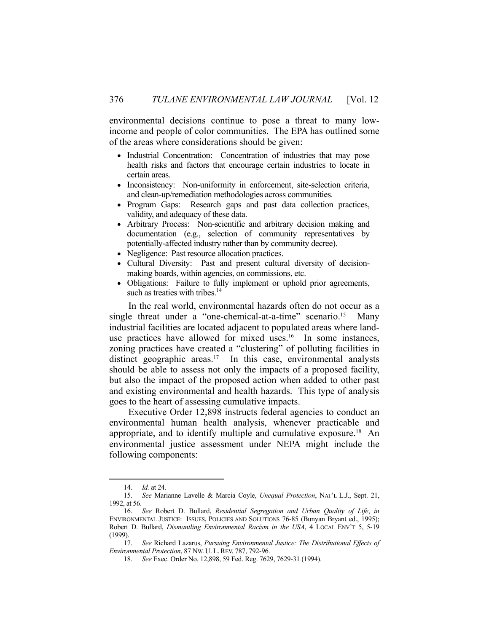environmental decisions continue to pose a threat to many lowincome and people of color communities. The EPA has outlined some of the areas where considerations should be given:

- Industrial Concentration: Concentration of industries that may pose health risks and factors that encourage certain industries to locate in certain areas.
- Inconsistency: Non-uniformity in enforcement, site-selection criteria, and clean-up/remediation methodologies across communities.
- Program Gaps: Research gaps and past data collection practices, validity, and adequacy of these data.
- Arbitrary Process: Non-scientific and arbitrary decision making and documentation (e.g., selection of community representatives by potentially-affected industry rather than by community decree).
- Negligence: Past resource allocation practices.
- Cultural Diversity: Past and present cultural diversity of decisionmaking boards, within agencies, on commissions, etc.
- Obligations: Failure to fully implement or uphold prior agreements, such as treaties with tribes. $14$

 In the real world, environmental hazards often do not occur as a single threat under a "one-chemical-at-a-time" scenario.<sup>15</sup> Many industrial facilities are located adjacent to populated areas where landuse practices have allowed for mixed uses.<sup>16</sup> In some instances, zoning practices have created a "clustering" of polluting facilities in distinct geographic areas.<sup>17</sup> In this case, environmental analysts should be able to assess not only the impacts of a proposed facility, but also the impact of the proposed action when added to other past and existing environmental and health hazards. This type of analysis goes to the heart of assessing cumulative impacts.

 Executive Order 12,898 instructs federal agencies to conduct an environmental human health analysis, whenever practicable and appropriate, and to identify multiple and cumulative exposure.18 An environmental justice assessment under NEPA might include the following components:

 <sup>14.</sup> *Id.* at 24.

 <sup>15.</sup> *See* Marianne Lavelle & Marcia Coyle, *Unequal Protection*, NAT'L L.J., Sept. 21, 1992, at 56.

 <sup>16.</sup> *See* Robert D. Bullard, *Residential Segregation and Urban Quality of Life*, *in* ENVIRONMENTAL JUSTICE: ISSUES, POLICIES AND SOLUTIONS 76-85 (Bunyan Bryant ed., 1995); Robert D. Bullard, *Dismantling Environmental Racism in the USA*, 4 LOCAL ENV'T 5, 5-19 (1999).

 <sup>17.</sup> *See* Richard Lazarus, *Pursuing Environmental Justice: The Distributional Effects of Environmental Protection*, 87 NW. U. L.REV. 787, 792-96.

 <sup>18.</sup> *See* Exec. Order No. 12,898, 59 Fed. Reg. 7629, 7629-31 (1994).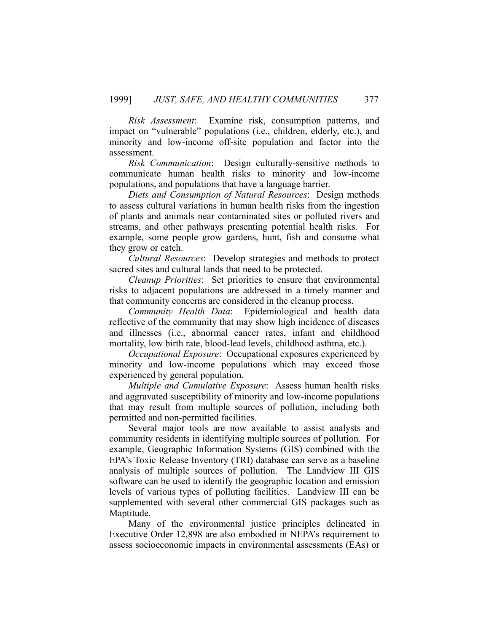*Risk Assessment*: Examine risk, consumption patterns, and impact on "vulnerable" populations (i.e., children, elderly, etc.), and minority and low-income off-site population and factor into the assessment.

*Risk Communication*: Design culturally-sensitive methods to communicate human health risks to minority and low-income populations, and populations that have a language barrier.

*Diets and Consumption of Natural Resources*: Design methods to assess cultural variations in human health risks from the ingestion of plants and animals near contaminated sites or polluted rivers and streams, and other pathways presenting potential health risks. For example, some people grow gardens, hunt, fish and consume what they grow or catch.

*Cultural Resources*: Develop strategies and methods to protect sacred sites and cultural lands that need to be protected.

*Cleanup Priorities*: Set priorities to ensure that environmental risks to adjacent populations are addressed in a timely manner and that community concerns are considered in the cleanup process.

*Community Health Data*: Epidemiological and health data reflective of the community that may show high incidence of diseases and illnesses (i.e., abnormal cancer rates, infant and childhood mortality, low birth rate, blood-lead levels, childhood asthma, etc.).

*Occupational Exposure*: Occupational exposures experienced by minority and low-income populations which may exceed those experienced by general population.

*Multiple and Cumulative Exposure*: Assess human health risks and aggravated susceptibility of minority and low-income populations that may result from multiple sources of pollution, including both permitted and non-permitted facilities.

 Several major tools are now available to assist analysts and community residents in identifying multiple sources of pollution. For example, Geographic Information Systems (GIS) combined with the EPA's Toxic Release Inventory (TRI) database can serve as a baseline analysis of multiple sources of pollution. The Landview III GIS software can be used to identify the geographic location and emission levels of various types of polluting facilities. Landview III can be supplemented with several other commercial GIS packages such as Maptitude.

 Many of the environmental justice principles delineated in Executive Order 12,898 are also embodied in NEPA's requirement to assess socioeconomic impacts in environmental assessments (EAs) or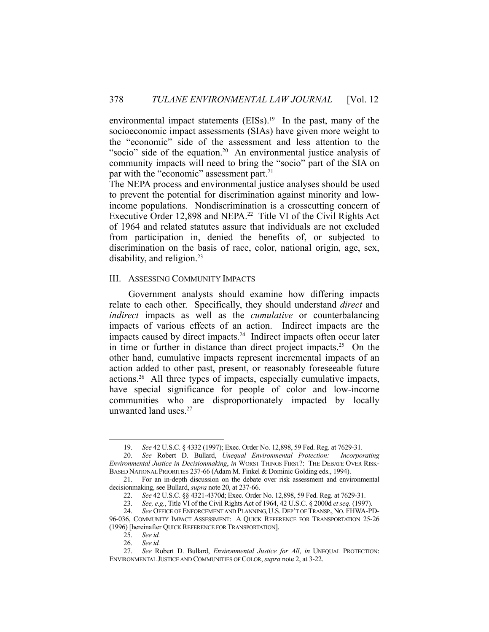environmental impact statements  $(EISs).<sup>19</sup>$  In the past, many of the socioeconomic impact assessments (SIAs) have given more weight to the "economic" side of the assessment and less attention to the "socio" side of the equation.<sup>20</sup> An environmental justice analysis of community impacts will need to bring the "socio" part of the SIA on par with the "economic" assessment part.<sup>21</sup>

The NEPA process and environmental justice analyses should be used to prevent the potential for discrimination against minority and lowincome populations. Nondiscrimination is a crosscutting concern of Executive Order 12,898 and NEPA.<sup>22</sup> Title VI of the Civil Rights Act of 1964 and related statutes assure that individuals are not excluded from participation in, denied the benefits of, or subjected to discrimination on the basis of race, color, national origin, age, sex, disability, and religion.<sup>23</sup>

#### III. ASSESSING COMMUNITY IMPACTS

 Government analysts should examine how differing impacts relate to each other. Specifically, they should understand *direct* and *indirect* impacts as well as the *cumulative* or counterbalancing impacts of various effects of an action. Indirect impacts are the impacts caused by direct impacts.<sup>24</sup> Indirect impacts often occur later in time or further in distance than direct project impacts.25 On the other hand, cumulative impacts represent incremental impacts of an action added to other past, present, or reasonably foreseeable future actions.26 All three types of impacts, especially cumulative impacts, have special significance for people of color and low-income communities who are disproportionately impacted by locally unwanted land uses.27

 <sup>19.</sup> *See* 42 U.S.C. § 4332 (1997); Exec. Order No. 12,898, 59 Fed. Reg. at 7629-31.

 <sup>20.</sup> *See* Robert D. Bullard, *Unequal Environmental Protection: Incorporating Environmental Justice in Decisionmaking*, *in* WORST THINGS FIRST?: THE DEBATE OVER RISK-BASED NATIONAL PRIORITIES 237-66 (Adam M. Finkel & Dominic Golding eds., 1994).

 <sup>21.</sup> For an in-depth discussion on the debate over risk assessment and environmental decisionmaking, see Bullard, *supra* note 20, at 237-66.

 <sup>22.</sup> *See* 42 U.S.C. §§ 4321-4370d; Exec. Order No. 12,898, 59 Fed. Reg. at 7629-31.

 <sup>23.</sup> *See, e.g.*, Title VI of the Civil Rights Act of 1964, 42 U.S.C. § 2000d *et seq.* (1997).

 <sup>24.</sup> *See* OFFICE OF ENFORCEMENT AND PLANNING, U.S. DEP'T OF TRANSP., NO. FHWA-PD-96-036, COMMUNITY IMPACT ASSESSMENT: A QUICK REFERENCE FOR TRANSPORTATION 25-26 (1996) [hereinafter QUICK REFERENCE FOR TRANSPORTATION].

 <sup>25.</sup> *See id.*

 <sup>26.</sup> *See id.*

 <sup>27.</sup> *See* Robert D. Bullard, *Environmental Justice for All*, *in* UNEQUAL PROTECTION: ENVIRONMENTAL JUSTICE AND COMMUNITIES OF COLOR, *supra* note 2, at 3-22.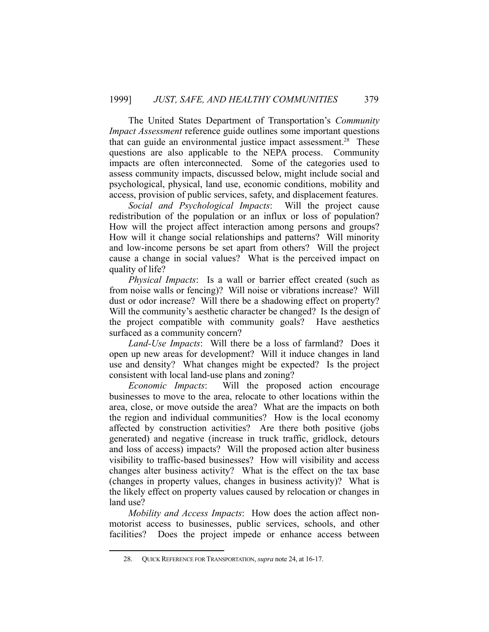The United States Department of Transportation's *Community Impact Assessment* reference guide outlines some important questions that can guide an environmental justice impact assessment.<sup>28</sup> These questions are also applicable to the NEPA process. Community impacts are often interconnected. Some of the categories used to assess community impacts, discussed below, might include social and psychological, physical, land use, economic conditions, mobility and access, provision of public services, safety, and displacement features.

*Social and Psychological Impacts*: Will the project cause redistribution of the population or an influx or loss of population? How will the project affect interaction among persons and groups? How will it change social relationships and patterns? Will minority and low-income persons be set apart from others? Will the project cause a change in social values? What is the perceived impact on quality of life?

*Physical Impacts*: Is a wall or barrier effect created (such as from noise walls or fencing)? Will noise or vibrations increase? Will dust or odor increase? Will there be a shadowing effect on property? Will the community's aesthetic character be changed? Is the design of the project compatible with community goals? Have aesthetics surfaced as a community concern?

*Land-Use Impacts*: Will there be a loss of farmland? Does it open up new areas for development? Will it induce changes in land use and density? What changes might be expected? Is the project consistent with local land-use plans and zoning?

*Economic Impacts*: Will the proposed action encourage businesses to move to the area, relocate to other locations within the area, close, or move outside the area? What are the impacts on both the region and individual communities? How is the local economy affected by construction activities? Are there both positive (jobs generated) and negative (increase in truck traffic, gridlock, detours and loss of access) impacts? Will the proposed action alter business visibility to traffic-based businesses? How will visibility and access changes alter business activity? What is the effect on the tax base (changes in property values, changes in business activity)? What is the likely effect on property values caused by relocation or changes in land use?

*Mobility and Access Impacts*: How does the action affect nonmotorist access to businesses, public services, schools, and other facilities? Does the project impede or enhance access between

 <sup>28.</sup> QUICK REFERENCE FOR TRANSPORTATION, *supra* note 24, at 16-17.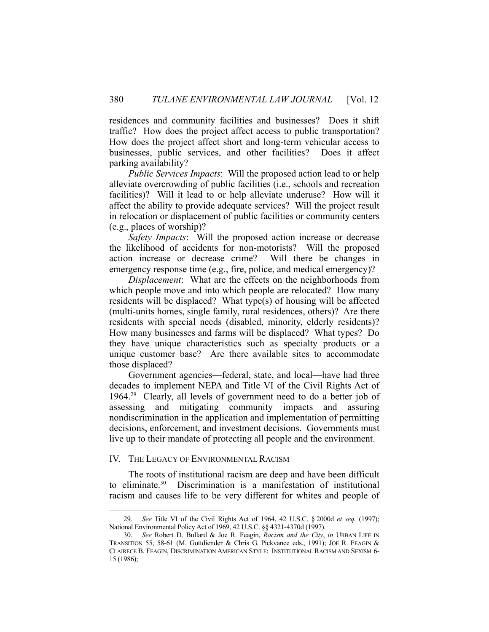residences and community facilities and businesses? Does it shift traffic? How does the project affect access to public transportation? How does the project affect short and long-term vehicular access to businesses, public services, and other facilities? Does it affect parking availability?

*Public Services Impacts*: Will the proposed action lead to or help alleviate overcrowding of public facilities (i.e., schools and recreation facilities)? Will it lead to or help alleviate underuse? How will it affect the ability to provide adequate services? Will the project result in relocation or displacement of public facilities or community centers (e.g., places of worship)?

*Safety Impacts*: Will the proposed action increase or decrease the likelihood of accidents for non-motorists? Will the proposed action increase or decrease crime? Will there be changes in emergency response time (e.g., fire, police, and medical emergency)?

*Displacement*: What are the effects on the neighborhoods from which people move and into which people are relocated? How many residents will be displaced? What type(s) of housing will be affected (multi-units homes, single family, rural residences, others)? Are there residents with special needs (disabled, minority, elderly residents)? How many businesses and farms will be displaced? What types? Do they have unique characteristics such as specialty products or a unique customer base? Are there available sites to accommodate those displaced?

 Government agencies—federal, state, and local—have had three decades to implement NEPA and Title VI of the Civil Rights Act of 1964.29 Clearly, all levels of government need to do a better job of assessing and mitigating community impacts and assuring nondiscrimination in the application and implementation of permitting decisions, enforcement, and investment decisions. Governments must live up to their mandate of protecting all people and the environment.

#### IV. THE LEGACY OF ENVIRONMENTAL RACISM

<u>.</u>

 The roots of institutional racism are deep and have been difficult to eliminate.30 Discrimination is a manifestation of institutional racism and causes life to be very different for whites and people of

 <sup>29.</sup> *See* Title VI of the Civil Rights Act of 1964, 42 U.S.C. § 2000d *et seq.* (1997); National Environmental Policy Act of 1969, 42 U.S.C. §§ 4321-4370d (1997).

 <sup>30.</sup> *See* Robert D. Bullard & Joe R. Feagin, *Racism and the City*, *in* URBAN LIFE IN TRANSITION 55, 58-61 (M. Gottdiender & Chris G. Pickvance eds., 1991); JOE R. FEAGIN & CLAIRECE B. FEAGIN, DISCRIMINATION AMERICAN STYLE: INSTITUTIONAL RACISM AND SEXISM 6- 15 (1986);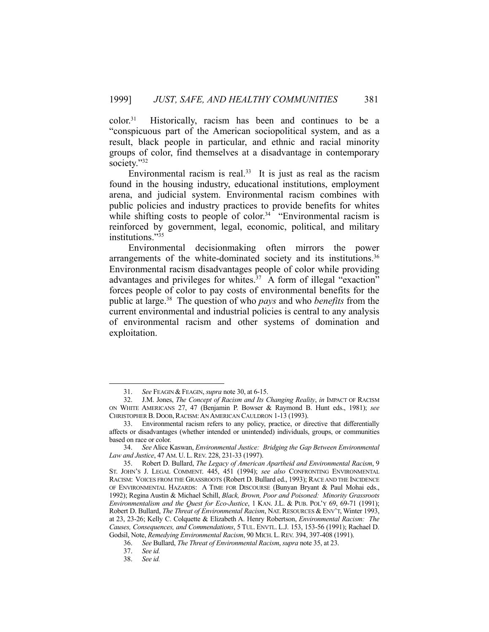color.31 Historically, racism has been and continues to be a "conspicuous part of the American sociopolitical system, and as a result, black people in particular, and ethnic and racial minority groups of color, find themselves at a disadvantage in contemporary society."32

Environmental racism is real.<sup>33</sup> It is just as real as the racism found in the housing industry, educational institutions, employment arena, and judicial system. Environmental racism combines with public policies and industry practices to provide benefits for whites while shifting costs to people of color.<sup>34</sup> "Environmental racism is reinforced by government, legal, economic, political, and military institutions."35

 Environmental decisionmaking often mirrors the power arrangements of the white-dominated society and its institutions.<sup>36</sup> Environmental racism disadvantages people of color while providing advantages and privileges for whites.<sup>37</sup> A form of illegal "exaction" forces people of color to pay costs of environmental benefits for the public at large.38 The question of who *pays* and who *benefits* from the current environmental and industrial policies is central to any analysis of environmental racism and other systems of domination and exploitation.

 <sup>31.</sup> *See* FEAGIN & FEAGIN, *supra* note 30, at 6-15.

 <sup>32.</sup> J.M. Jones, *The Concept of Racism and Its Changing Reality*, *in* IMPACT OF RACISM ON WHITE AMERICANS 27, 47 (Benjamin P. Bowser & Raymond B. Hunt eds., 1981); *see* CHRISTOPHER B. DOOB, RACISM: AN AMERICAN CAULDRON 1-13 (1993).

 <sup>33.</sup> Environmental racism refers to any policy, practice, or directive that differentially affects or disadvantages (whether intended or unintended) individuals, groups, or communities based on race or color.

 <sup>34.</sup> *See* Alice Kaswan, *Environmental Justice: Bridging the Gap Between Environmental Law and Justice*, 47 AM. U. L.REV. 228, 231-33 (1997).

 <sup>35.</sup> Robert D. Bullard, *The Legacy of American Apartheid and Environmental Racism*, 9 ST. JOHN'S J. LEGAL COMMENT. 445, 451 (1994); *see also* CONFRONTING ENVIRONMENTAL RACISM: VOICES FROM THE GRASSROOTS (Robert D. Bullard ed., 1993); RACE AND THE INCIDENCE OF ENVIRONMENTAL HAZARDS: A TIME FOR DISCOURSE (Bunyan Bryant & Paul Mohai eds., 1992); Regina Austin & Michael Schill, *Black, Brown, Poor and Poisoned: Minority Grassroots Environmentalism and the Quest for Eco-Justice*, 1 KAN. J.L. & PUB. POL'Y 69, 69-71 (1991); Robert D. Bullard, *The Threat of Environmental Racism*, NAT. RESOURCES & ENV'T, Winter 1993, at 23, 23-26; Kelly C. Colquette & Elizabeth A. Henry Robertson, *Environmental Racism: The Causes, Consequences, and Commendations*, 5 TUL. ENVTL. L.J. 153, 153-56 (1991); Rachael D. Godsil, Note, *Remedying Environmental Racism*, 90 MICH. L.REV. 394, 397-408 (1991).

 <sup>36.</sup> *See* Bullard, *The Threat of Environmental Racism*, *supra* note 35, at 23.

 <sup>37.</sup> *See id.*

 <sup>38.</sup> *See id.*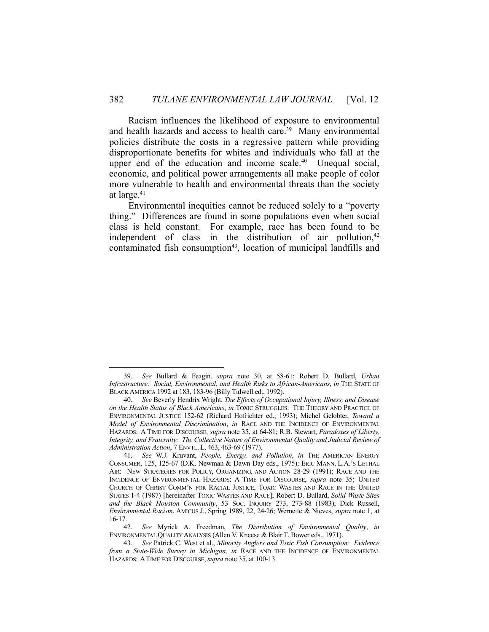Racism influences the likelihood of exposure to environmental and health hazards and access to health care.<sup>39</sup> Many environmental policies distribute the costs in a regressive pattern while providing disproportionate benefits for whites and individuals who fall at the upper end of the education and income scale.<sup>40</sup> Unequal social, economic, and political power arrangements all make people of color more vulnerable to health and environmental threats than the society at large.41

 Environmental inequities cannot be reduced solely to a "poverty thing." Differences are found in some populations even when social class is held constant. For example, race has been found to be independent of class in the distribution of air pollution,<sup>42</sup> contaminated fish consumption<sup>43</sup>, location of municipal landfills and

 <sup>39.</sup> *See* Bullard & Feagin, *supra* note 30, at 58-61; Robert D. Bullard, *Urban Infrastructure: Social, Environmental, and Health Risks to African-Americans*, *in* THE STATE OF BLACK AMERICA 1992 at 183, 183-96 (Billy Tidwell ed., 1992).

 <sup>40.</sup> *See* Beverly Hendrix Wright, *The Effects of Occupational Injury, Illness, and Disease on the Health Status of Black Americans*, *in* TOXIC STRUGGLES: THE THEORY AND PRACTICE OF ENVIRONMENTAL JUSTICE 152-62 (Richard Hofrichter ed., 1993); Michel Gelobter, *Toward a Model of Environmental Discrimination*, *in* RACE AND THE INCIDENCE OF ENVIRONMENTAL HAZARDS: A TIME FOR DISCOURSE, *supra* note 35, at 64-81; R.B. Stewart, *Paradoxes of Liberty, Integrity, and Fraternity: The Collective Nature of Environmental Quality and Judicial Review of Administration Action*, 7 ENVTL. L. 463, 463-69 (1977).

 <sup>41.</sup> *See* W.J. Kruvant, *People, Energy, and Pollution*, *in* THE AMERICAN ENERGY CONSUMER, 125, 125-67 (D.K. Newman & Dawn Day eds., 1975); ERIC MANN, L.A.'S LETHAL AIR: NEW STRATEGIES FOR POLICY, ORGANIZING, AND ACTION 28-29 (1991); RACE AND THE INCIDENCE OF ENVIRONMENTAL HAZARDS: A TIME FOR DISCOURSE, *supra* note 35; UNITED CHURCH OF CHRIST COMM'N FOR RACIAL JUSTICE, TOXIC WASTES AND RACE IN THE UNITED STATES 1-4 (1987) [hereinafter TOXIC WASTES AND RACE]; Robert D. Bullard, *Solid Waste Sites and the Black Houston Community*, 53 SOC. INQUIRY 273, 273-88 (1983); Dick Russell, *Environmental Racism*, AMICUS J., Spring 1989, 22, 24-26; Wernette & Nieves, *supra* note 1, at 16-17.

 <sup>42.</sup> *See* Myrick A. Freedman, *The Distribution of Environmental Quality*, *in* ENVIRONMENTAL QUALITY ANALYSIS (Allen V. Kneese & Blair T. Bower eds., 1971).

 <sup>43.</sup> *See* Patrick C. West et al., *Minority Anglers and Toxic Fish Consumption: Evidence from a State-Wide Survey in Michigan, in* RACE AND THE INCIDENCE OF ENVIRONMENTAL HAZARDS: ATIME FOR DISCOURSE, *supra* note 35, at 100-13.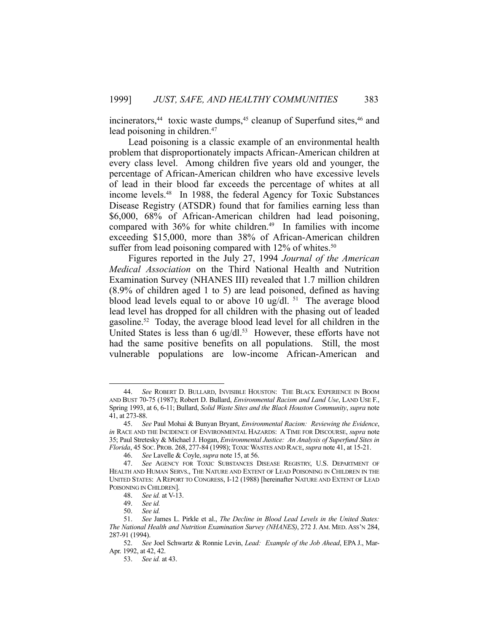incinerators, $44$  toxic waste dumps, $45$  cleanup of Superfund sites, $46$  and lead poisoning in children.<sup>47</sup>

 Lead poisoning is a classic example of an environmental health problem that disproportionately impacts African-American children at every class level. Among children five years old and younger, the percentage of African-American children who have excessive levels of lead in their blood far exceeds the percentage of whites at all income levels.48 In 1988, the federal Agency for Toxic Substances Disease Registry (ATSDR) found that for families earning less than \$6,000, 68% of African-American children had lead poisoning, compared with  $36\%$  for white children.<sup>49</sup> In families with income exceeding \$15,000, more than 38% of African-American children suffer from lead poisoning compared with  $12\%$  of whites.<sup>50</sup>

 Figures reported in the July 27, 1994 *Journal of the American Medical Association* on the Third National Health and Nutrition Examination Survey (NHANES III) revealed that 1.7 million children (8.9% of children aged 1 to 5) are lead poisoned, defined as having blood lead levels equal to or above 10 ug/dl.  $51$  The average blood lead level has dropped for all children with the phasing out of leaded gasoline.52 Today, the average blood lead level for all children in the United States is less than 6 ug/dl. $53$  However, these efforts have not had the same positive benefits on all populations. Still, the most vulnerable populations are low-income African-American and

 <sup>44.</sup> *See* ROBERT D. BULLARD, INVISIBLE HOUSTON: THE BLACK EXPERIENCE IN BOOM AND BUST 70-75 (1987); Robert D. Bullard, *Environmental Racism and Land Use*, LAND USE F., Spring 1993, at 6, 6-11; Bullard, *Solid Waste Sites and the Black Houston Community*, *supra* note 41, at 273-88.

 <sup>45.</sup> *See* Paul Mohai & Bunyan Bryant, *Environmental Racism: Reviewing the Evidence*, *in* RACE AND THE INCIDENCE OF ENVIRONMENTAL HAZARDS: A TIME FOR DISCOURSE, *supra* note 35; Paul Stretesky & Michael J. Hogan, *Environmental Justice: An Analysis of Superfund Sites in Florida*, 45 SOC. PROB. 268, 277-84 (1998); TOXIC WASTES AND RACE, *supra* note 41, at 15-21.

 <sup>46.</sup> *See* Lavelle & Coyle, *supra* note 15, at 56.

 <sup>47.</sup> *See* AGENCY FOR TOXIC SUBSTANCES DISEASE REGISTRY, U.S. DEPARTMENT OF HEALTH AND HUMAN SERVS., THE NATURE AND EXTENT OF LEAD POISONING IN CHILDREN IN THE UNITED STATES: A REPORT TO CONGRESS, I-12 (1988) [hereinafter NATURE AND EXTENT OF LEAD POISONING IN CHILDREN].

 <sup>48.</sup> *See id.* at V-13.

 <sup>49.</sup> *See id.* 

 <sup>50.</sup> *See id.*

 <sup>51.</sup> *See* James L. Pirkle et al., *The Decline in Blood Lead Levels in the United States: The National Health and Nutrition Examination Survey (NHANES)*, 272 J. AM. MED. ASS'N 284, 287-91 (1994).

 <sup>52.</sup> *See* Joel Schwartz & Ronnie Levin, *Lead: Example of the Job Ahead*, EPA J., Mar-Apr. 1992, at 42, 42.

 <sup>53.</sup> *See id.* at 43.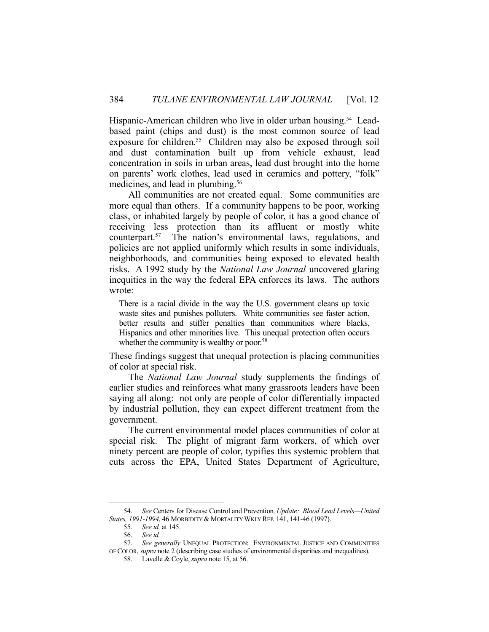Hispanic-American children who live in older urban housing.<sup>54</sup> Leadbased paint (chips and dust) is the most common source of lead exposure for children.<sup>55</sup> Children may also be exposed through soil and dust contamination built up from vehicle exhaust, lead concentration in soils in urban areas, lead dust brought into the home on parents' work clothes, lead used in ceramics and pottery, "folk" medicines, and lead in plumbing.<sup>56</sup>

 All communities are not created equal. Some communities are more equal than others. If a community happens to be poor, working class, or inhabited largely by people of color, it has a good chance of receiving less protection than its affluent or mostly white counterpart.57 The nation's environmental laws, regulations, and policies are not applied uniformly which results in some individuals, neighborhoods, and communities being exposed to elevated health risks. A 1992 study by the *National Law Journal* uncovered glaring inequities in the way the federal EPA enforces its laws. The authors wrote:

There is a racial divide in the way the U.S. government cleans up toxic waste sites and punishes polluters. White communities see faster action, better results and stiffer penalties than communities where blacks, Hispanics and other minorities live. This unequal protection often occurs whether the community is wealthy or poor.<sup>58</sup>

These findings suggest that unequal protection is placing communities of color at special risk.

 The *National Law Journal* study supplements the findings of earlier studies and reinforces what many grassroots leaders have been saying all along: not only are people of color differentially impacted by industrial pollution, they can expect different treatment from the government.

 The current environmental model places communities of color at special risk. The plight of migrant farm workers, of which over ninety percent are people of color, typifies this systemic problem that cuts across the EPA, United States Department of Agriculture,

 <sup>54.</sup> *See* Centers for Disease Control and Prevention*, Update: Blood Lead Levels—United States, 1991-1994*, 46 MORBIDITY & MORTALITY WKLY REP. 141, 141-46 (1997).

 <sup>55.</sup> *See id.* at 145.

 <sup>56.</sup> *See id.*

 <sup>57.</sup> *See generally* UNEQUAL PROTECTION: ENVIRONMENTAL JUSTICE AND COMMUNITIES

OF COLOR, *supra* note 2 (describing case studies of environmental disparities and inequalities). 58. Lavelle & Coyle, *supra* note 15, at 56.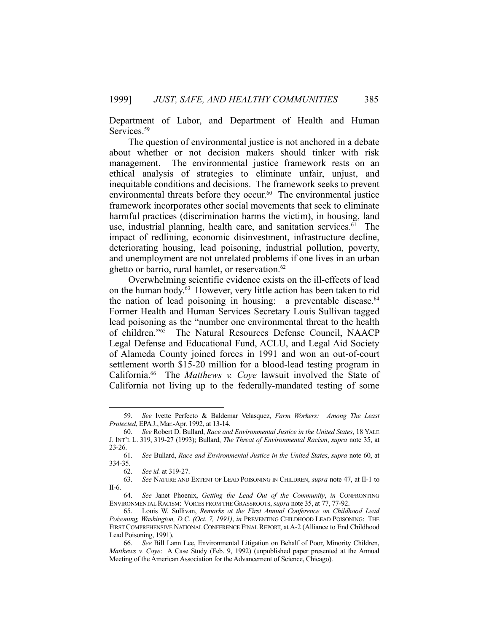Department of Labor, and Department of Health and Human Services.<sup>59</sup>

 The question of environmental justice is not anchored in a debate about whether or not decision makers should tinker with risk management. The environmental justice framework rests on an ethical analysis of strategies to eliminate unfair, unjust, and inequitable conditions and decisions. The framework seeks to prevent environmental threats before they occur. $60$  The environmental justice framework incorporates other social movements that seek to eliminate harmful practices (discrimination harms the victim), in housing, land use, industrial planning, health care, and sanitation services.<sup>61</sup> The impact of redlining, economic disinvestment, infrastructure decline, deteriorating housing, lead poisoning, industrial pollution, poverty, and unemployment are not unrelated problems if one lives in an urban ghetto or barrio, rural hamlet, or reservation.<sup>62</sup>

 Overwhelming scientific evidence exists on the ill-effects of lead on the human body.63 However, very little action has been taken to rid the nation of lead poisoning in housing: a preventable disease. 64 Former Health and Human Services Secretary Louis Sullivan tagged lead poisoning as the "number one environmental threat to the health of children."65 The Natural Resources Defense Council, NAACP Legal Defense and Educational Fund, ACLU, and Legal Aid Society of Alameda County joined forces in 1991 and won an out-of-court settlement worth \$15-20 million for a blood-lead testing program in California.66 The *Matthews v. Coye* lawsuit involved the State of California not living up to the federally-mandated testing of some

 <sup>59.</sup> *See* Ivette Perfecto & Baldemar Velasquez, *Farm Workers: Among The Least Protected*, EPAJ., Mar.-Apr. 1992, at 13-14.

 <sup>60.</sup> *See* Robert D. Bullard, *Race and Environmental Justice in the United States*, 18 YALE J. INT'L L. 319, 319-27 (1993); Bullard, *The Threat of Environmental Racism*, *supra* note 35, at  $23-26.$  61.

 <sup>61.</sup> *See* Bullard, *Race and Environmental Justice in the United States*, *supra* note 60, at 334-35.

 <sup>62.</sup> *See id.* at 319-27.

 <sup>63.</sup> *See* NATURE AND EXTENT OF LEAD POISONING IN CHILDREN, *supra* note 47, at II-1 to II-6.

 <sup>64.</sup> *See* Janet Phoenix, *Getting the Lead Out of the Community*, *in* CONFRONTING ENVIRONMENTAL RACISM: VOICES FROM THE GRASSROOTS, *supra* note 35, at 77, 77-92.

 <sup>65.</sup> Louis W. Sullivan, *Remarks at the First Annual Conference on Childhood Lead Poisoning, Washington, D.C. (Oct. 7, 1991)*, *in* PREVENTING CHILDHOOD LEAD POISONING: THE FIRST COMPREHENSIVE NATIONAL CONFERENCE FINAL REPORT, at A-2 (Alliance to End Childhood Lead Poisoning, 1991).

 <sup>66.</sup> *See* Bill Lann Lee, Environmental Litigation on Behalf of Poor, Minority Children, *Matthews v. Coye*: A Case Study (Feb. 9, 1992) (unpublished paper presented at the Annual Meeting of the American Association for the Advancement of Science, Chicago).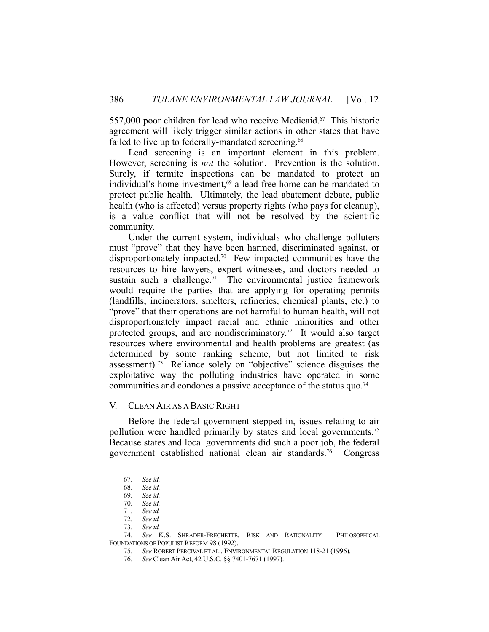557,000 poor children for lead who receive Medicaid.<sup>67</sup> This historic agreement will likely trigger similar actions in other states that have failed to live up to federally-mandated screening.<sup>68</sup>

 Lead screening is an important element in this problem. However, screening is *not* the solution. Prevention is the solution. Surely, if termite inspections can be mandated to protect an individual's home investment,<sup>69</sup> a lead-free home can be mandated to protect public health. Ultimately, the lead abatement debate, public health (who is affected) versus property rights (who pays for cleanup), is a value conflict that will not be resolved by the scientific community.

 Under the current system, individuals who challenge polluters must "prove" that they have been harmed, discriminated against, or disproportionately impacted.70 Few impacted communities have the resources to hire lawyers, expert witnesses, and doctors needed to sustain such a challenge.<sup>71</sup> The environmental justice framework would require the parties that are applying for operating permits (landfills, incinerators, smelters, refineries, chemical plants, etc.) to "prove" that their operations are not harmful to human health, will not disproportionately impact racial and ethnic minorities and other protected groups, and are nondiscriminatory.<sup>72</sup> It would also target resources where environmental and health problems are greatest (as determined by some ranking scheme, but not limited to risk assessment).73 Reliance solely on "objective" science disguises the exploitative way the polluting industries have operated in some communities and condones a passive acceptance of the status quo.<sup>74</sup>

#### V. CLEAN AIR AS A BASIC RIGHT

 Before the federal government stepped in, issues relating to air pollution were handled primarily by states and local governments.<sup>75</sup> Because states and local governments did such a poor job, the federal government established national clean air standards.76 Congress

 <sup>67.</sup> *See id.*

 <sup>68.</sup> *See id.*

 <sup>69.</sup> *See id.*

 <sup>70.</sup> *See id.*

 <sup>71.</sup> *See id.*

 <sup>72.</sup> *See id.*

 <sup>73.</sup> *See id.*

 <sup>74.</sup> *See* K.S. SHRADER-FRECHETTE, RISK AND RATIONALITY: PHILOSOPHICAL FOUNDATIONS OF POPULIST REFORM 98 (1992).

 <sup>75.</sup> *See* ROBERT PERCIVAL ET AL., ENVIRONMENTAL REGULATION 118-21 (1996).

 <sup>76.</sup> *See* Clean Air Act, 42 U.S.C. §§ 7401-7671 (1997).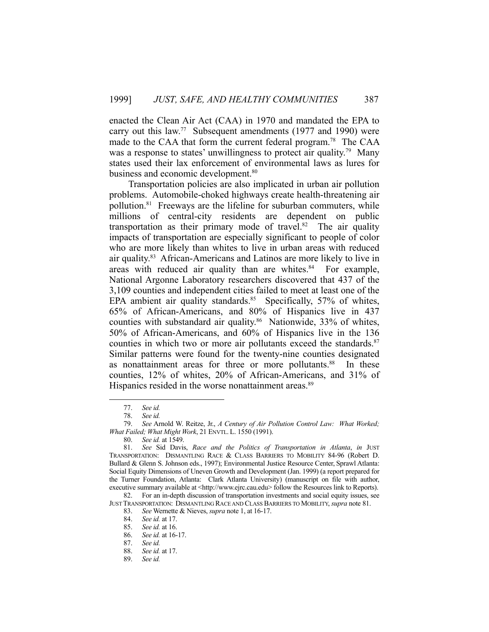enacted the Clean Air Act (CAA) in 1970 and mandated the EPA to carry out this law.<sup>77</sup> Subsequent amendments (1977 and 1990) were made to the CAA that form the current federal program.78 The CAA was a response to states' unwillingness to protect air quality.<sup>79</sup> Many states used their lax enforcement of environmental laws as lures for business and economic development.<sup>80</sup>

 Transportation policies are also implicated in urban air pollution problems. Automobile-choked highways create health-threatening air pollution.81 Freeways are the lifeline for suburban commuters, while millions of central-city residents are dependent on public transportation as their primary mode of travel.<sup>82</sup> The air quality impacts of transportation are especially significant to people of color who are more likely than whites to live in urban areas with reduced air quality.83 African-Americans and Latinos are more likely to live in areas with reduced air quality than are whites. $84$  For example, National Argonne Laboratory researchers discovered that 437 of the 3,109 counties and independent cities failed to meet at least one of the EPA ambient air quality standards.<sup>85</sup> Specifically, 57% of whites, 65% of African-Americans, and 80% of Hispanics live in 437 counties with substandard air quality.<sup>86</sup> Nationwide, 33% of whites, 50% of African-Americans, and 60% of Hispanics live in the 136 counties in which two or more air pollutants exceed the standards.<sup>87</sup> Similar patterns were found for the twenty-nine counties designated as nonattainment areas for three or more pollutants.<sup>88</sup> In these counties, 12% of whites, 20% of African-Americans, and 31% of Hispanics resided in the worse nonattainment areas.<sup>89</sup>

1

 82. For an in-depth discussion of transportation investments and social equity issues, see JUST TRANSPORTATION: DISMANTLING RACE AND CLASS BARRIERS TO MOBILITY, *supra* note 81.

 <sup>77.</sup> *See id.*

 <sup>78.</sup> *See id.*

 <sup>79.</sup> *See* Arnold W. Reitze, Jr., *A Century of Air Pollution Control Law: What Worked; What Failed; What Might Work*, 21 ENVTL. L. 1550 (1991).

 <sup>80.</sup> *See id.* at 1549.

 <sup>81.</sup> *See* Sid Davis, *Race and the Politics of Transportation in Atlanta*, *in* JUST TRANSPORTATION: DISMANTLING RACE & CLASS BARRIERS TO MOBILITY 84-96 (Robert D. Bullard & Glenn S. Johnson eds., 1997); Environmental Justice Resource Center, Sprawl Atlanta: Social Equity Dimensions of Uneven Growth and Development (Jan. 1999) (a report prepared for the Turner Foundation, Atlanta: Clark Atlanta University) (manuscript on file with author, executive summary available at <http://www.ejrc.cau.edu> follow the Resources link to Reports).

 <sup>83.</sup> *See* Wernette & Nieves, *supra* note 1, at 16-17.

 <sup>84.</sup> *See id.* at 17.

 <sup>85.</sup> *See id.* at 16.

 <sup>86.</sup> *See id.* at 16-17.

See id.

 <sup>88.</sup> *See id.* at 17.

 <sup>89.</sup> *See id.*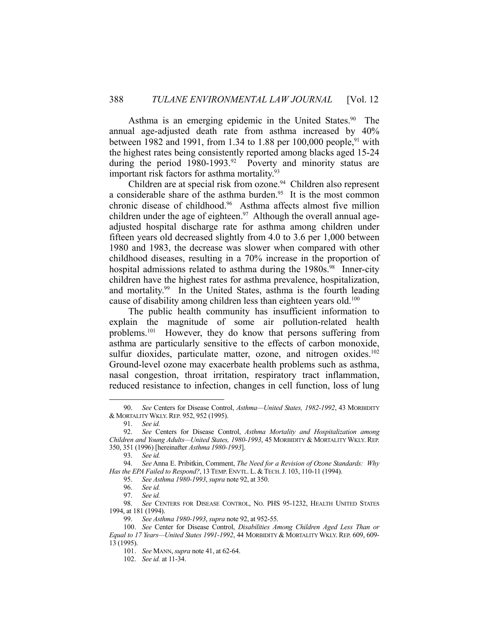Asthma is an emerging epidemic in the United States.<sup>90</sup> The annual age-adjusted death rate from asthma increased by 40% between 1982 and 1991, from 1.34 to 1.88 per 100,000 people,<sup>91</sup> with the highest rates being consistently reported among blacks aged 15-24 during the period  $1980-1993.^{92}$  Poverty and minority status are important risk factors for asthma mortality.<sup>93</sup>

Children are at special risk from ozone.<sup>94</sup> Children also represent a considerable share of the asthma burden.<sup>95</sup> It is the most common chronic disease of childhood.96 Asthma affects almost five million children under the age of eighteen.<sup>97</sup> Although the overall annual ageadjusted hospital discharge rate for asthma among children under fifteen years old decreased slightly from 4.0 to 3.6 per 1,000 between 1980 and 1983, the decrease was slower when compared with other childhood diseases, resulting in a 70% increase in the proportion of hospital admissions related to asthma during the 1980s.<sup>98</sup> Inner-city children have the highest rates for asthma prevalence, hospitalization, and mortality.<sup>99</sup> In the United States, asthma is the fourth leading cause of disability among children less than eighteen years old.<sup>100</sup>

 The public health community has insufficient information to explain the magnitude of some air pollution-related health problems.101 However, they do know that persons suffering from asthma are particularly sensitive to the effects of carbon monoxide, sulfur dioxides, particulate matter, ozone, and nitrogen oxides.<sup>102</sup> Ground-level ozone may exacerbate health problems such as asthma, nasal congestion, throat irritation, respiratory tract inflammation, reduced resistance to infection, changes in cell function, loss of lung

1

102. *See id.* at 11-34.

 <sup>90.</sup> *See* Centers for Disease Control, *Asthma—United States, 1982-1992*, 43 MORBIDITY & MORTALITY WKLY.REP. 952, 952 (1995).

 <sup>91.</sup> *See id.*

 <sup>92.</sup> *See* Centers for Disease Control, *Asthma Mortality and Hospitalization among Children and Young Adults—United States, 1980-1993*, 45 MORBIDITY & MORTALITY WKLY. REP. 350, 351 (1996) [hereinafter *Asthma 1980-1993*].

 <sup>93.</sup> *See id.*

 <sup>94.</sup> *See* Anna E. Pribitkin, Comment, *The Need for a Revision of Ozone Standards: Why Has the EPA Failed to Respond?*, 13TEMP. ENVTL. L. &TECH.J. 103, 110-11 (1994).

 <sup>95.</sup> *See Asthma 1980-1993*, *supra* note 92, at 350.

 <sup>96.</sup> *See id.*

 <sup>97.</sup> *See id.*

 <sup>98.</sup> *See* CENTERS FOR DISEASE CONTROL, NO. PHS 95-1232, HEALTH UNITED STATES 1994, at 181 (1994).

 <sup>99.</sup> *See Asthma 1980-1993*, *supra* note 92, at 952-55.

 <sup>100.</sup> *See* Center for Disease Control, *Disabilities Among Children Aged Less Than or Equal to 17 Years—United States 1991-1992*, 44 MORBIDITY & MORTALITY WKLY. REP. 609, 609- 13 (1995).

 <sup>101.</sup> *See* MANN, *supra* note 41, at 62-64.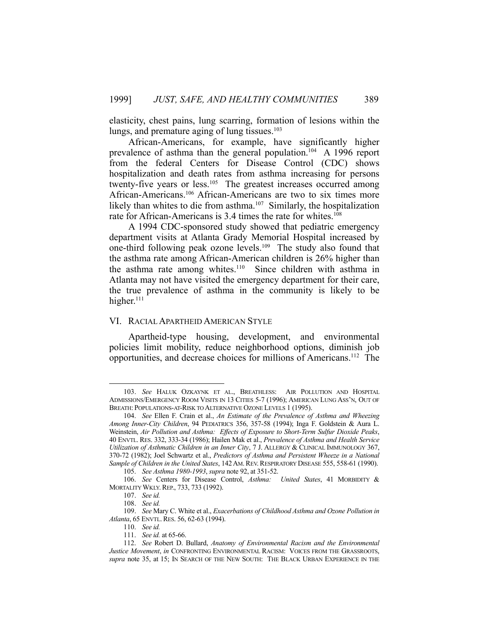elasticity, chest pains, lung scarring, formation of lesions within the lungs, and premature aging of lung tissues. $103$ 

 African-Americans, for example, have significantly higher prevalence of asthma than the general population.104 A 1996 report from the federal Centers for Disease Control (CDC) shows hospitalization and death rates from asthma increasing for persons twenty-five years or less.<sup>105</sup> The greatest increases occurred among African-Americans.106 African-Americans are two to six times more likely than whites to die from asthma.<sup>107</sup> Similarly, the hospitalization rate for African-Americans is 3.4 times the rate for whites.<sup>108</sup>

 A 1994 CDC-sponsored study showed that pediatric emergency department visits at Atlanta Grady Memorial Hospital increased by one-third following peak ozone levels.109 The study also found that the asthma rate among African-American children is 26% higher than the asthma rate among whites.<sup>110</sup> Since children with asthma in Atlanta may not have visited the emergency department for their care, the true prevalence of asthma in the community is likely to be higher. $111$ 

#### VI. RACIAL APARTHEID AMERICAN STYLE

 Apartheid-type housing, development, and environmental policies limit mobility, reduce neighborhood options, diminish job opportunities, and decrease choices for millions of Americans.112 The

 <sup>103.</sup> *See* HALUK OZKAYNK ET AL., BREATHLESS: AIR POLLUTION AND HOSPITAL ADMISSIONS/EMERGENCY ROOM VISITS IN 13 CITIES 5-7 (1996); AMERICAN LUNG ASS'N, OUT OF BREATH: POPULATIONS-AT-RISK TO ALTERNATIVE OZONE LEVELS 1 (1995).

 <sup>104.</sup> *See* Ellen F. Crain et al., *An Estimate of the Prevalence of Asthma and Wheezing Among Inner-City Children*, 94 PEDIATRICS 356, 357-58 (1994); Inga F. Goldstein & Aura L. Weinstein, *Air Pollution and Asthma: Effects of Exposure to Short-Term Sulfur Dioxide Peaks*, 40 ENVTL. RES. 332, 333-34 (1986); Hailen Mak et al., *Prevalence of Asthma and Health Service Utilization of Asthmatic Children in an Inner City*, 7 J. ALLERGY & CLINICAL IMMUNOLOGY 367, 370-72 (1982); Joel Schwartz et al., *Predictors of Asthma and Persistent Wheeze in a National Sample of Children in the United States*, 142AM.REV. RESPIRATORY DISEASE 555, 558-61 (1990).

 <sup>105.</sup> *See Asthma 1980-1993*, *supra* note 92, at 351-52.

 <sup>106.</sup> *See* Centers for Disease Control, *Asthma: United States*, 41 MORBIDITY & MORTALITY WKLY. REP., 733, 733 (1992).

 <sup>107.</sup> *See id.* 

 <sup>108.</sup> *See id.* 

 <sup>109.</sup> *See* Mary C. White et al., *Exacerbations of Childhood Asthma and Ozone Pollution in Atlanta*, 65 ENVTL. RES. 56, 62-63 (1994).

 <sup>110.</sup> *See id.*

 <sup>111.</sup> *See id.* at 65-66.

 <sup>112.</sup> *See* Robert D. Bullard, *Anatomy of Environmental Racism and the Environmental Justice Movement*, *in* CONFRONTING ENVIRONMENTAL RACISM: VOICES FROM THE GRASSROOTS, *supra* note 35, at 15; IN SEARCH OF THE NEW SOUTH: THE BLACK URBAN EXPERIENCE IN THE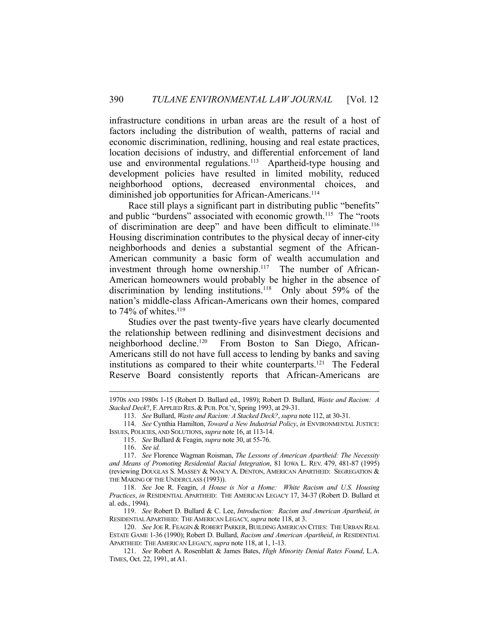infrastructure conditions in urban areas are the result of a host of factors including the distribution of wealth, patterns of racial and economic discrimination, redlining, housing and real estate practices, location decisions of industry, and differential enforcement of land use and environmental regulations.<sup>113</sup> Apartheid-type housing and development policies have resulted in limited mobility, reduced neighborhood options, decreased environmental choices, and diminished job opportunities for African-Americans.<sup>114</sup>

 Race still plays a significant part in distributing public "benefits" and public "burdens" associated with economic growth.<sup>115</sup> The "roots" of discrimination are deep" and have been difficult to eliminate.116 Housing discrimination contributes to the physical decay of inner-city neighborhoods and denies a substantial segment of the African-American community a basic form of wealth accumulation and investment through home ownership.<sup>117</sup> The number of African-American homeowners would probably be higher in the absence of discrimination by lending institutions.<sup>118</sup> Only about 59% of the nation's middle-class African-Americans own their homes, compared to  $74\%$  of whites.<sup>119</sup>

 Studies over the past twenty-five years have clearly documented the relationship between redlining and disinvestment decisions and neighborhood decline.120 From Boston to San Diego, African-Americans still do not have full access to lending by banks and saving institutions as compared to their white counterparts.<sup>121</sup> The Federal Reserve Board consistently reports that African-Americans are

115. *See* Bullard & Feagin, *supra* note 30, at 55-76.

 <sup>1970</sup>S AND 1980S 1-15 (Robert D. Bullard ed., 1989); Robert D. Bullard, *Waste and Racism: A Stacked Deck*?, F.APPLIED RES. & PUB. POL'Y, Spring 1993, at 29-31.

 <sup>113.</sup> *See* Bullard, *Waste and Racism: A Stacked Deck?*, *supra* note 112, at 30-31.

 <sup>114.</sup> *See* Cynthia Hamilton, *Toward a New Industrial Policy*, *in* ENVIRONMENTAL JUSTICE: ISSUES, POLICIES, AND SOLUTIONS, *supra* note 16, at 113-14.

 <sup>116.</sup> *See id.*

 <sup>117.</sup> *See* Florence Wagman Roisman, *The Lessons of American Apartheid: The Necessity and Means of Promoting Residential Racial Integration*, 81 IOWA L. REV. 479, 481-87 (1995) (reviewing DOUGLAS S. MASSEY & NANCY A. DENTON, AMERICAN APARTHEID: SEGREGATION & THE MAKING OF THE UNDERCLASS (1993)).

 <sup>118.</sup> *See* Joe R. Feagin, *A House is Not a Home: White Racism and U.S. Housing Practices*, *in* RESIDENTIAL APARTHEID: THE AMERICAN LEGACY 17, 34-37 (Robert D. Bullard et al. eds., 1994).

 <sup>119.</sup> *See* Robert D. Bullard & C. Lee, *Introduction: Racism and American Apartheid*, *in* RESIDENTIAL APARTHEID: THE AMERICAN LEGACY, *supra* note 118, at 3.

 <sup>120.</sup> *See* JOE R. FEAGIN & ROBERT PARKER, BUILDING AMERICAN CITIES: THE URBAN REAL ESTATE GAME 1-36 (1990); Robert D. Bullard, *Racism and American Apartheid*, *in* RESIDENTIAL APARTHEID: THE AMERICAN LEGACY, *supra* note 118, at 1, 1-13.

 <sup>121.</sup> *See* Robert A. Rosenblatt & James Bates, *High Minority Denial Rates Found*, L.A. TIMES, Oct. 22, 1991, at A1.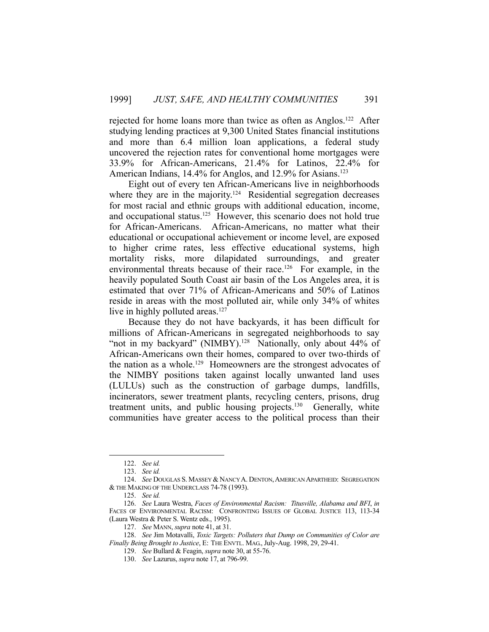rejected for home loans more than twice as often as Anglos.<sup>122</sup> After studying lending practices at 9,300 United States financial institutions and more than 6.4 million loan applications, a federal study uncovered the rejection rates for conventional home mortgages were 33.9% for African-Americans, 21.4% for Latinos, 22.4% for American Indians, 14.4% for Anglos, and 12.9% for Asians.<sup>123</sup>

 Eight out of every ten African-Americans live in neighborhoods where they are in the majority.<sup>124</sup> Residential segregation decreases for most racial and ethnic groups with additional education, income, and occupational status.<sup>125</sup> However, this scenario does not hold true for African-Americans. African-Americans, no matter what their educational or occupational achievement or income level, are exposed to higher crime rates, less effective educational systems, high mortality risks, more dilapidated surroundings, and greater environmental threats because of their race.<sup>126</sup> For example, in the heavily populated South Coast air basin of the Los Angeles area, it is estimated that over 71% of African-Americans and 50% of Latinos reside in areas with the most polluted air, while only 34% of whites live in highly polluted areas.<sup>127</sup>

 Because they do not have backyards, it has been difficult for millions of African-Americans in segregated neighborhoods to say "not in my backyard" (NIMBY).<sup>128</sup> Nationally, only about 44% of African-Americans own their homes, compared to over two-thirds of the nation as a whole.<sup>129</sup> Homeowners are the strongest advocates of the NIMBY positions taken against locally unwanted land uses (LULUs) such as the construction of garbage dumps, landfills, incinerators, sewer treatment plants, recycling centers, prisons, drug treatment units, and public housing projects.<sup>130</sup> Generally, white communities have greater access to the political process than their

 <sup>122.</sup> *See id.*

 <sup>123.</sup> *See id.*

 <sup>124.</sup> *See* DOUGLAS S. MASSEY & NANCY A. DENTON,AMERICAN APARTHEID: SEGREGATION & THE MAKING OF THE UNDERCLASS 74-78 (1993).

 <sup>125.</sup> *See id.*

 <sup>126.</sup> *See* Laura Westra, *Faces of Environmental Racism: Titusville, Alabama and BFI*, *in* FACES OF ENVIRONMENTAL RACISM: CONFRONTING ISSUES OF GLOBAL JUSTICE 113, 113-34 (Laura Westra & Peter S. Wentz eds., 1995).

 <sup>127.</sup> *See* MANN, *supra* note 41, at 31.

 <sup>128.</sup> *See* Jim Motavalli, *Toxic Targets: Polluters that Dump on Communities of Color are Finally Being Brought to Justice*, E: THE ENVTL. MAG., July-Aug. 1998, 29, 29-41.

 <sup>129.</sup> *See* Bullard & Feagin, *supra* note 30, at 55-76.

 <sup>130.</sup> *See* Lazurus, *supra* note 17, at 796-99.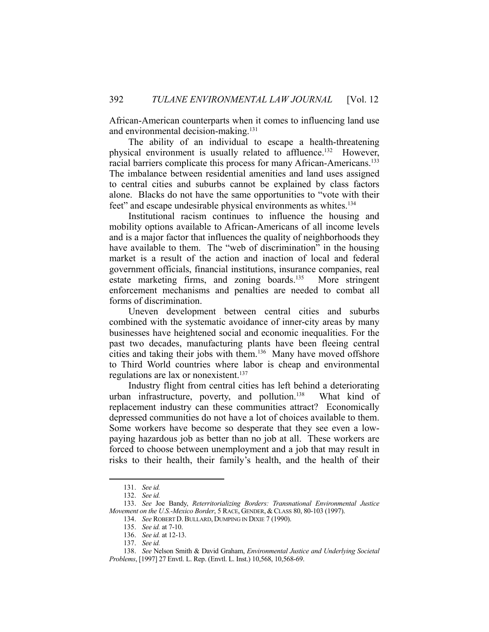African-American counterparts when it comes to influencing land use and environmental decision-making.<sup>131</sup>

 The ability of an individual to escape a health-threatening physical environment is usually related to affluence.<sup>132</sup> However, racial barriers complicate this process for many African-Americans.<sup>133</sup> The imbalance between residential amenities and land uses assigned to central cities and suburbs cannot be explained by class factors alone. Blacks do not have the same opportunities to "vote with their feet" and escape undesirable physical environments as whites.<sup>134</sup>

 Institutional racism continues to influence the housing and mobility options available to African-Americans of all income levels and is a major factor that influences the quality of neighborhoods they have available to them. The "web of discrimination" in the housing market is a result of the action and inaction of local and federal government officials, financial institutions, insurance companies, real estate marketing firms, and zoning boards.<sup>135</sup> More stringent enforcement mechanisms and penalties are needed to combat all forms of discrimination.

 Uneven development between central cities and suburbs combined with the systematic avoidance of inner-city areas by many businesses have heightened social and economic inequalities. For the past two decades, manufacturing plants have been fleeing central cities and taking their jobs with them.136 Many have moved offshore to Third World countries where labor is cheap and environmental regulations are lax or nonexistent.<sup>137</sup>

 Industry flight from central cities has left behind a deteriorating urban infrastructure, poverty, and pollution.<sup>138</sup> What kind of replacement industry can these communities attract? Economically depressed communities do not have a lot of choices available to them. Some workers have become so desperate that they see even a lowpaying hazardous job as better than no job at all. These workers are forced to choose between unemployment and a job that may result in risks to their health, their family's health, and the health of their

 <sup>131.</sup> *See id.* 

 <sup>132.</sup> *See id.* 

 <sup>133.</sup> *See* Joe Bandy, *Reterritorializing Borders: Transnational Environmental Justice Movement on the U.S.-Mexico Border*, 5 RACE, GENDER, & CLASS 80, 80-103 (1997).

 <sup>134.</sup> *See* ROBERT D. BULLARD, DUMPING IN DIXIE 7 (1990).

 <sup>135.</sup> *See id.* at 7-10.

 <sup>136.</sup> *See id.* at 12-13.

 <sup>137.</sup> *See id.*

 <sup>138.</sup> *See* Nelson Smith & David Graham, *Environmental Justice and Underlying Societal Problems*, [1997] 27 Envtl. L. Rep. (Envtl. L. Inst.) 10,568, 10,568-69.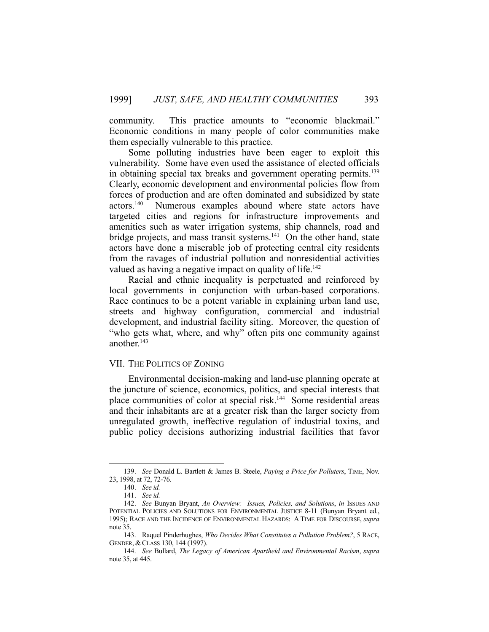community. This practice amounts to "economic blackmail." Economic conditions in many people of color communities make them especially vulnerable to this practice.

 Some polluting industries have been eager to exploit this vulnerability. Some have even used the assistance of elected officials in obtaining special tax breaks and government operating permits.<sup>139</sup> Clearly, economic development and environmental policies flow from forces of production and are often dominated and subsidized by state actors.140 Numerous examples abound where state actors have targeted cities and regions for infrastructure improvements and amenities such as water irrigation systems, ship channels, road and bridge projects, and mass transit systems.<sup>141</sup> On the other hand, state actors have done a miserable job of protecting central city residents from the ravages of industrial pollution and nonresidential activities valued as having a negative impact on quality of life.<sup>142</sup>

 Racial and ethnic inequality is perpetuated and reinforced by local governments in conjunction with urban-based corporations. Race continues to be a potent variable in explaining urban land use, streets and highway configuration, commercial and industrial development, and industrial facility siting. Moreover, the question of "who gets what, where, and why" often pits one community against another.<sup>143</sup>

## VII. THE POLITICS OF ZONING

 Environmental decision-making and land-use planning operate at the juncture of science, economics, politics, and special interests that place communities of color at special risk.144 Some residential areas and their inhabitants are at a greater risk than the larger society from unregulated growth, ineffective regulation of industrial toxins, and public policy decisions authorizing industrial facilities that favor

 <sup>139.</sup> *See* Donald L. Bartlett & James B. Steele, *Paying a Price for Polluters*, TIME, Nov. 23, 1998, at 72, 72-76.

 <sup>140.</sup> *See id.* 

 <sup>141.</sup> *See id.* 

 <sup>142.</sup> *See* Bunyan Bryant, *An Overview: Issues, Policies, and Solutions*, *in* ISSUES AND POTENTIAL POLICIES AND SOLUTIONS FOR ENVIRONMENTAL JUSTICE 8-11 (Bunyan Bryant ed., 1995); RACE AND THE INCIDENCE OF ENVIRONMENTAL HAZARDS: A TIME FOR DISCOURSE, *supra* note 35.

 <sup>143.</sup> Raquel Pinderhughes, *Who Decides What Constitutes a Pollution Problem?*, 5 RACE, GENDER, & CLASS 130, 144 (1997).

 <sup>144.</sup> *See* Bullard, *The Legacy of American Apartheid and Environmental Racism*, *supra* note 35, at 445.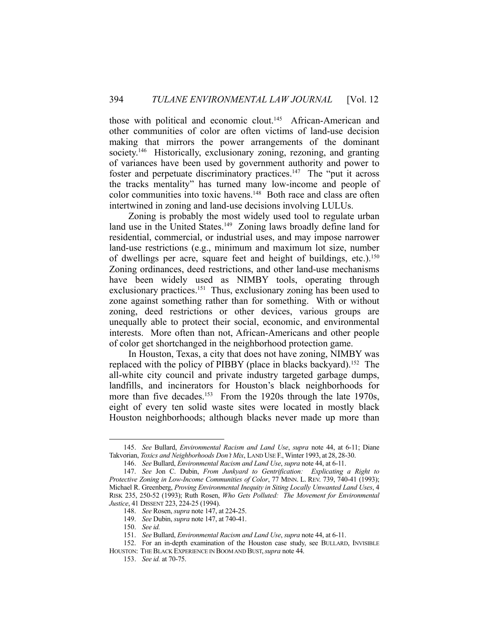those with political and economic clout.<sup>145</sup> African-American and other communities of color are often victims of land-use decision making that mirrors the power arrangements of the dominant society.<sup>146</sup> Historically, exclusionary zoning, rezoning, and granting of variances have been used by government authority and power to foster and perpetuate discriminatory practices.<sup>147</sup> The "put it across" the tracks mentality" has turned many low-income and people of color communities into toxic havens.<sup>148</sup> Both race and class are often intertwined in zoning and land-use decisions involving LULUs.

 Zoning is probably the most widely used tool to regulate urban land use in the United States.<sup>149</sup> Zoning laws broadly define land for residential, commercial, or industrial uses, and may impose narrower land-use restrictions (e.g., minimum and maximum lot size, number of dwellings per acre, square feet and height of buildings, etc.).<sup>150</sup> Zoning ordinances, deed restrictions, and other land-use mechanisms have been widely used as NIMBY tools, operating through exclusionary practices.<sup>151</sup> Thus, exclusionary zoning has been used to zone against something rather than for something. With or without zoning, deed restrictions or other devices, various groups are unequally able to protect their social, economic, and environmental interests. More often than not, African-Americans and other people of color get shortchanged in the neighborhood protection game.

 In Houston, Texas, a city that does not have zoning, NIMBY was replaced with the policy of PIBBY (place in blacks backyard).<sup>152</sup> The all-white city council and private industry targeted garbage dumps, landfills, and incinerators for Houston's black neighborhoods for more than five decades.<sup>153</sup> From the 1920s through the late 1970s, eight of every ten solid waste sites were located in mostly black Houston neighborhoods; although blacks never made up more than

 <sup>145.</sup> *See* Bullard, *Environmental Racism and Land Use*, *supra* note 44, at 6-11; Diane Takvorian, *Toxics and Neighborhoods Don't Mix*, LAND USE F.,Winter 1993, at 28, 28-30.

 <sup>146.</sup> *See* Bullard, *Environmental Racism and Land Use*, *supra* note 44, at 6-11.

 <sup>147.</sup> *See* Jon C. Dubin, *From Junkyard to Gentrification: Explicating a Right to Protective Zoning in Low-Income Communities of Color, 77 MINN. L. REV. 739, 740-41 (1993);* Michael R. Greenberg, *Proving Environmental Inequity in Siting Locally Unwanted Land Uses*, 4 RISK 235, 250-52 (1993); Ruth Rosen, *Who Gets Polluted: The Movement for Environmental Justice*, 41 DISSENT 223, 224-25 (1994).

 <sup>148.</sup> *See* Rosen, *supra* note 147, at 224-25.

 <sup>149.</sup> *See* Dubin, *supra* note 147, at 740-41.

 <sup>150.</sup> *See id.* 

 <sup>151.</sup> *See* Bullard, *Environmental Racism and Land Use*, *supra* note 44, at 6-11.

 <sup>152.</sup> For an in-depth examination of the Houston case study, see BULLARD, INVISIBLE

HOUSTON: THE BLACK EXPERIENCE IN BOOM AND BUST,*supra* note 44.

 <sup>153.</sup> *See id.* at 70-75.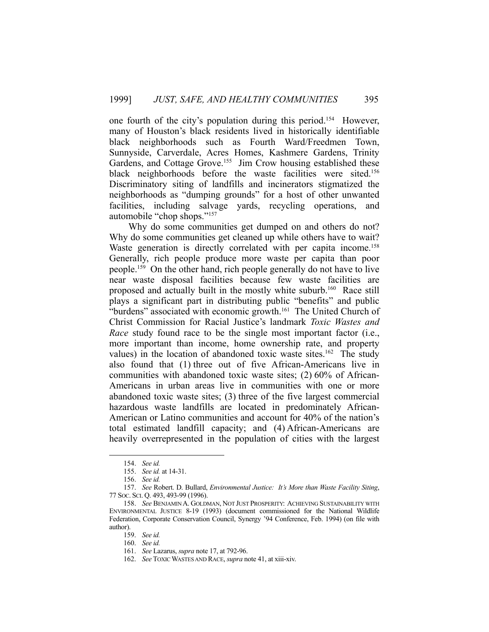one fourth of the city's population during this period.154 However, many of Houston's black residents lived in historically identifiable black neighborhoods such as Fourth Ward/Freedmen Town, Sunnyside, Carverdale, Acres Homes, Kashmere Gardens, Trinity Gardens, and Cottage Grove.<sup>155</sup> Jim Crow housing established these black neighborhoods before the waste facilities were sited.<sup>156</sup> Discriminatory siting of landfills and incinerators stigmatized the neighborhoods as "dumping grounds" for a host of other unwanted facilities, including salvage yards, recycling operations, and automobile "chop shops."157

 Why do some communities get dumped on and others do not? Why do some communities get cleaned up while others have to wait? Waste generation is directly correlated with per capita income.<sup>158</sup> Generally, rich people produce more waste per capita than poor people.159 On the other hand, rich people generally do not have to live near waste disposal facilities because few waste facilities are proposed and actually built in the mostly white suburb.160 Race still plays a significant part in distributing public "benefits" and public "burdens" associated with economic growth.<sup>161</sup> The United Church of Christ Commission for Racial Justice's landmark *Toxic Wastes and Race* study found race to be the single most important factor (i.e., more important than income, home ownership rate, and property values) in the location of abandoned toxic waste sites.<sup>162</sup> The study also found that (1) three out of five African-Americans live in communities with abandoned toxic waste sites; (2) 60% of African-Americans in urban areas live in communities with one or more abandoned toxic waste sites; (3) three of the five largest commercial hazardous waste landfills are located in predominately African-American or Latino communities and account for 40% of the nation's total estimated landfill capacity; and (4) African-Americans are heavily overrepresented in the population of cities with the largest

 <sup>154.</sup> *See id.* 

 <sup>155.</sup> *See id.* at 14-31.

 <sup>156.</sup> *See id.* 

 <sup>157.</sup> *See* Robert. D. Bullard, *Environmental Justice: It's More than Waste Facility Siting*, 77 SOC. SCI. Q. 493, 493-99 (1996).

 <sup>158.</sup> *See* BENJAMIN A. GOLDMAN, NOT JUST PROSPERITY: ACHIEVING SUSTAINABILITY WITH ENVIRONMENTAL JUSTICE 8-19 (1993) (document commissioned for the National Wildlife Federation, Corporate Conservation Council, Synergy '94 Conference, Feb. 1994) (on file with author).

 <sup>159.</sup> *See id.*

 <sup>160.</sup> *See id.*

 <sup>161.</sup> *See* Lazarus, *supra* note 17, at 792-96.

 <sup>162.</sup> *See* TOXIC WASTES AND RACE, *supra* note 41, at xiii-xiv.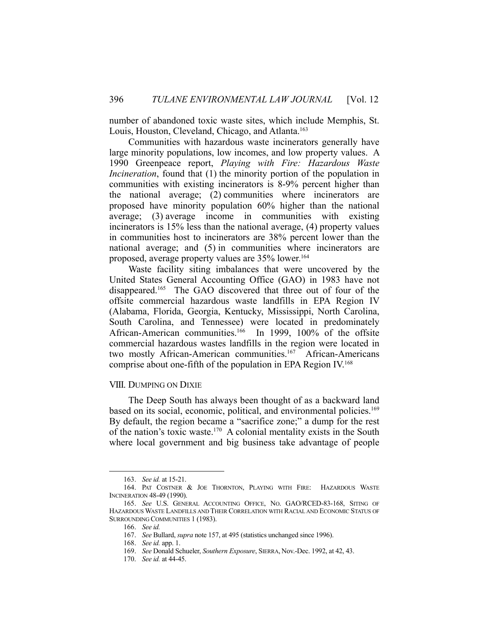number of abandoned toxic waste sites, which include Memphis, St. Louis, Houston, Cleveland, Chicago, and Atlanta.<sup>163</sup>

 Communities with hazardous waste incinerators generally have large minority populations, low incomes, and low property values. A 1990 Greenpeace report, *Playing with Fire: Hazardous Waste Incineration*, found that (1) the minority portion of the population in communities with existing incinerators is 8-9% percent higher than the national average; (2) communities where incinerators are proposed have minority population 60% higher than the national average; (3) average income in communities with existing incinerators is 15% less than the national average, (4) property values in communities host to incinerators are 38% percent lower than the national average; and (5) in communities where incinerators are proposed, average property values are 35% lower.164

 Waste facility siting imbalances that were uncovered by the United States General Accounting Office (GAO) in 1983 have not disappeared.165 The GAO discovered that three out of four of the offsite commercial hazardous waste landfills in EPA Region IV (Alabama, Florida, Georgia, Kentucky, Mississippi, North Carolina, South Carolina, and Tennessee) were located in predominately African-American communities.<sup>166</sup> In 1999, 100% of the offsite commercial hazardous wastes landfills in the region were located in two mostly African-American communities.<sup>167</sup> African-Americans comprise about one-fifth of the population in EPA Region IV.168

#### VIII. DUMPING ON DIXIE

 The Deep South has always been thought of as a backward land based on its social, economic, political, and environmental policies.<sup>169</sup> By default, the region became a "sacrifice zone;" a dump for the rest of the nation's toxic waste.<sup>170</sup> A colonial mentality exists in the South where local government and big business take advantage of people

 <sup>163.</sup> *See id.* at 15-21.

 <sup>164.</sup> PAT COSTNER & JOE THORNTON, PLAYING WITH FIRE: HAZARDOUS WASTE INCINERATION 48-49 (1990).

 <sup>165.</sup> *See* U.S. GENERAL ACCOUNTING OFFICE, NO. GAO/RCED-83-168, SITING OF HAZARDOUS WASTE LANDFILLS AND THEIR CORRELATION WITH RACIAL AND ECONOMIC STATUS OF SURROUNDING COMMUNITIES 1 (1983).

 <sup>166.</sup> *See id.*

 <sup>167.</sup> *See* Bullard, *supra* note 157, at 495 (statistics unchanged since 1996).

 <sup>168.</sup> *See id.* app. 1.

 <sup>169.</sup> *See* Donald Schueler, *Southern Exposure*, SIERRA, Nov.-Dec. 1992, at 42, 43.

 <sup>170.</sup> *See id.* at 44-45.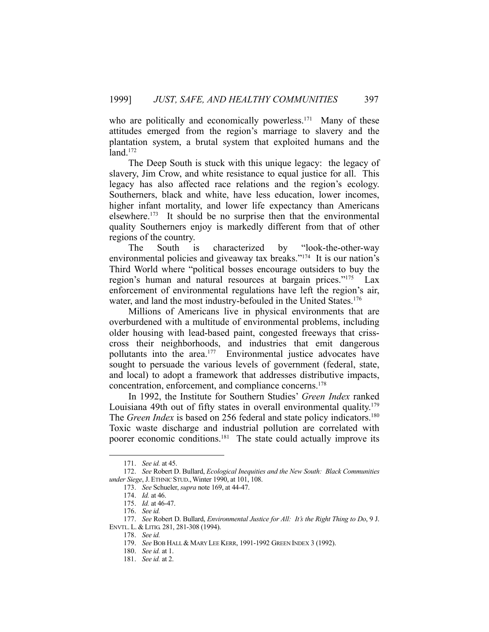who are politically and economically powerless.<sup>171</sup> Many of these attitudes emerged from the region's marriage to slavery and the plantation system, a brutal system that exploited humans and the  $land.<sup>172</sup>$ 

 The Deep South is stuck with this unique legacy: the legacy of slavery, Jim Crow, and white resistance to equal justice for all. This legacy has also affected race relations and the region's ecology. Southerners, black and white, have less education, lower incomes, higher infant mortality, and lower life expectancy than Americans elsewhere.173 It should be no surprise then that the environmental quality Southerners enjoy is markedly different from that of other regions of the country.

 The South is characterized by "look-the-other-way environmental policies and giveaway tax breaks."174 It is our nation's Third World where "political bosses encourage outsiders to buy the region's human and natural resources at bargain prices."175 Lax enforcement of environmental regulations have left the region's air, water, and land the most industry-befouled in the United States. 176

 Millions of Americans live in physical environments that are overburdened with a multitude of environmental problems, including older housing with lead-based paint, congested freeways that crisscross their neighborhoods, and industries that emit dangerous pollutants into the area.<sup>177</sup> Environmental justice advocates have sought to persuade the various levels of government (federal, state, and local) to adopt a framework that addresses distributive impacts, concentration, enforcement, and compliance concerns.178

 In 1992, the Institute for Southern Studies' *Green Index* ranked Louisiana 49th out of fifty states in overall environmental quality.<sup>179</sup> The *Green Index* is based on 256 federal and state policy indicators.<sup>180</sup> Toxic waste discharge and industrial pollution are correlated with poorer economic conditions.<sup>181</sup> The state could actually improve its

 <sup>171.</sup> *See id.* at 45.

 <sup>172.</sup> *See* Robert D. Bullard, *Ecological Inequities and the New South: Black Communities under Siege*, J. ETHNIC STUD.,Winter 1990, at 101, 108.

 <sup>173.</sup> *See* Schueler, *supra* note 169, at 44-47.

 <sup>174.</sup> *Id.* at 46.

 <sup>175.</sup> *Id.* at 46-47.

 <sup>176.</sup> *See id.*

 <sup>177.</sup> *See* Robert D. Bullard, *Environmental Justice for All: It's the Right Thing to Do*, 9 J. ENVTL. L. & LITIG. 281, 281-308 (1994).

 <sup>178.</sup> *See id.*

 <sup>179.</sup> *See* BOB HALL & MARY LEE KERR, 1991-1992 GREEN INDEX 3 (1992).

 <sup>180.</sup> *See id.* at 1.

 <sup>181.</sup> *See id.* at 2.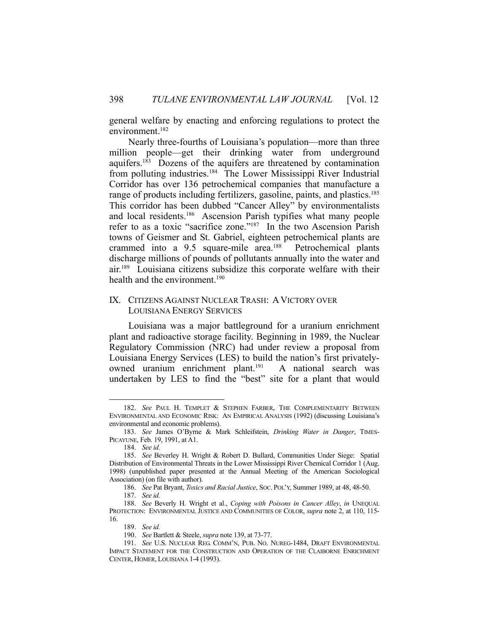general welfare by enacting and enforcing regulations to protect the environment.182

 Nearly three-fourths of Louisiana's population—more than three million people—get their drinking water from underground aquifers.183 Dozens of the aquifers are threatened by contamination from polluting industries.184 The Lower Mississippi River Industrial Corridor has over 136 petrochemical companies that manufacture a range of products including fertilizers, gasoline, paints, and plastics.<sup>185</sup> This corridor has been dubbed "Cancer Alley" by environmentalists and local residents.186 Ascension Parish typifies what many people refer to as a toxic "sacrifice zone."187 In the two Ascension Parish towns of Geismer and St. Gabriel, eighteen petrochemical plants are crammed into a 9.5 square-mile area.<sup>188</sup> Petrochemical plants discharge millions of pounds of pollutants annually into the water and air.189 Louisiana citizens subsidize this corporate welfare with their health and the environment.<sup>190</sup>

## IX. CITIZENS AGAINST NUCLEAR TRASH: AVICTORY OVER LOUISIANA ENERGY SERVICES

 Louisiana was a major battleground for a uranium enrichment plant and radioactive storage facility. Beginning in 1989, the Nuclear Regulatory Commission (NRC) had under review a proposal from Louisiana Energy Services (LES) to build the nation's first privatelyowned uranium enrichment plant.<sup>191</sup> A national search was undertaken by LES to find the "best" site for a plant that would

 <sup>182.</sup> *See* PAUL H. TEMPLET & STEPHEN FARBER, THE COMPLEMENTARITY BETWEEN ENVIRONMENTAL AND ECONOMIC RISK: AN EMPIRICAL ANALYSIS (1992) (discussing Louisiana's environmental and economic problems).

 <sup>183.</sup> *See* James O'Byrne & Mark Schleifstein, *Drinking Water in Danger*, TIMES-PICAYUNE, Feb. 19, 1991, at A1.

 <sup>184.</sup> *See id.*

 <sup>185.</sup> *See* Beverley H. Wright & Robert D. Bullard, Communities Under Siege: Spatial Distribution of Environmental Threats in the Lower Mississippi River Chemical Corridor 1 (Aug. 1998) (unpublished paper presented at the Annual Meeting of the American Sociological Association) (on file with author).

 <sup>186.</sup> *See* Pat Bryant, *Toxics and Racial Justice*, SOC. POL'Y, Summer 1989, at 48, 48-50.

 <sup>187.</sup> *See id.* 

 <sup>188.</sup> *See* Beverly H. Wright et al., *Coping with Poisons in Cancer Alley*, *in* UNEQUAL PROTECTION: ENVIRONMENTAL JUSTICE AND COMMUNITIES OF COLOR, *supra* note 2, at 110, 115- 16.

 <sup>189.</sup> *See id.*

 <sup>190.</sup> *See* Bartlett & Steele, *supra* note 139, at 73-77.

 <sup>191.</sup> *See* U.S. NUCLEAR REG. COMM'N, PUB. NO. NUREG-1484, DRAFT ENVIRONMENTAL IMPACT STATEMENT FOR THE CONSTRUCTION AND OPERATION OF THE CLAIBORNE ENRICHMENT CENTER, HOMER, LOUISIANA 1-4 (1993).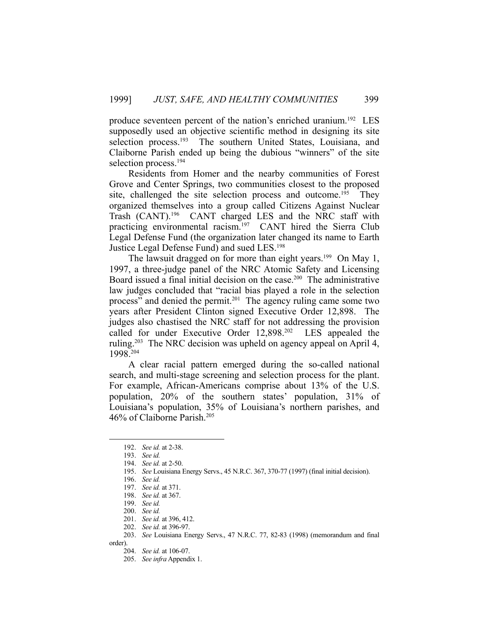produce seventeen percent of the nation's enriched uranium.192 LES supposedly used an objective scientific method in designing its site selection process.<sup>193</sup> The southern United States, Louisiana, and Claiborne Parish ended up being the dubious "winners" of the site selection process.<sup>194</sup>

 Residents from Homer and the nearby communities of Forest Grove and Center Springs, two communities closest to the proposed site, challenged the site selection process and outcome.<sup>195</sup> They organized themselves into a group called Citizens Against Nuclear Trash (CANT).196 CANT charged LES and the NRC staff with practicing environmental racism.<sup>197</sup> CANT hired the Sierra Club Legal Defense Fund (the organization later changed its name to Earth Justice Legal Defense Fund) and sued LES.198

The lawsuit dragged on for more than eight years.<sup>199</sup> On May 1, 1997, a three-judge panel of the NRC Atomic Safety and Licensing Board issued a final initial decision on the case.200 The administrative law judges concluded that "racial bias played a role in the selection process" and denied the permit.<sup>201</sup> The agency ruling came some two years after President Clinton signed Executive Order 12,898. The judges also chastised the NRC staff for not addressing the provision called for under Executive Order 12,898.202 LES appealed the ruling.<sup>203</sup> The NRC decision was upheld on agency appeal on April 4, 1998.204

 A clear racial pattern emerged during the so-called national search, and multi-stage screening and selection process for the plant. For example, African-Americans comprise about 13% of the U.S. population, 20% of the southern states' population, 31% of Louisiana's population, 35% of Louisiana's northern parishes, and 46% of Claiborne Parish.205

 <sup>192.</sup> *See id.* at 2-38.

 <sup>193.</sup> *See id.* 

 <sup>194.</sup> *See id.* at 2-50.

 <sup>195.</sup> *See* Louisiana Energy Servs., 45 N.R.C. 367, 370-77 (1997) (final initial decision).

 <sup>196.</sup> *See id.* 

 <sup>197.</sup> *See id.* at 371.

 <sup>198.</sup> *See id.* at 367.

 <sup>199.</sup> *See id.*

 <sup>200.</sup> *See id.*

 <sup>201.</sup> *See id.* at 396, 412.

 <sup>202.</sup> *See id.* at 396-97.

 <sup>203.</sup> *See* Louisiana Energy Servs., 47 N.R.C. 77, 82-83 (1998) (memorandum and final

order).

 <sup>204.</sup> *See id.* at 106-07.

 <sup>205.</sup> *See infra* Appendix 1.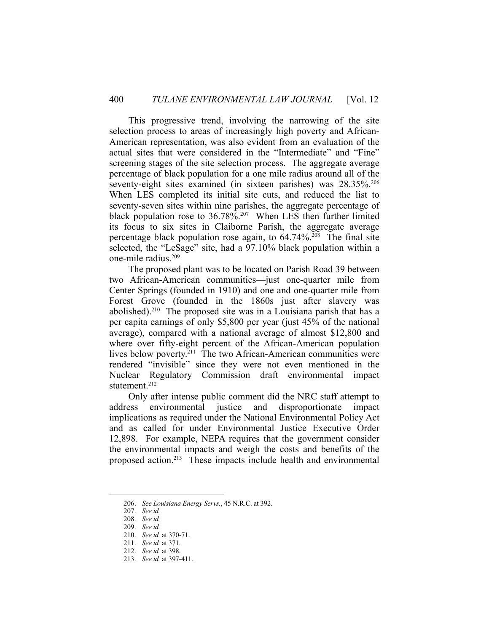This progressive trend, involving the narrowing of the site selection process to areas of increasingly high poverty and African-American representation, was also evident from an evaluation of the actual sites that were considered in the "Intermediate" and "Fine" screening stages of the site selection process. The aggregate average percentage of black population for a one mile radius around all of the seventy-eight sites examined (in sixteen parishes) was 28.35%.<sup>206</sup> When LES completed its initial site cuts, and reduced the list to seventy-seven sites within nine parishes, the aggregate percentage of black population rose to  $36.78\%$ <sup>207</sup> When LES then further limited its focus to six sites in Claiborne Parish, the aggregate average percentage black population rose again, to  $64.74\%$ <sup>208</sup>. The final site selected, the "LeSage" site, had a 97.10% black population within a one-mile radius.209

 The proposed plant was to be located on Parish Road 39 between two African-American communities—just one-quarter mile from Center Springs (founded in 1910) and one and one-quarter mile from Forest Grove (founded in the 1860s just after slavery was abolished).<sup>210</sup> The proposed site was in a Louisiana parish that has a per capita earnings of only \$5,800 per year (just 45% of the national average), compared with a national average of almost \$12,800 and where over fifty-eight percent of the African-American population lives below poverty.<sup>211</sup> The two African-American communities were rendered "invisible" since they were not even mentioned in the Nuclear Regulatory Commission draft environmental impact statement.<sup>212</sup>

 Only after intense public comment did the NRC staff attempt to address environmental justice and disproportionate impact implications as required under the National Environmental Policy Act and as called for under Environmental Justice Executive Order 12,898. For example, NEPA requires that the government consider the environmental impacts and weigh the costs and benefits of the proposed action.213 These impacts include health and environmental

 <sup>206.</sup> *See Louisiana Energy Servs.*, 45 N.R.C. at 392.

 <sup>207.</sup> *See id.* 

 <sup>208.</sup> *See id.* 

 <sup>209.</sup> *See id.* 

 <sup>210.</sup> *See id.* at 370-71.

 <sup>211.</sup> *See id.* at 371.

 <sup>212.</sup> *See id.* at 398.

 <sup>213.</sup> *See id.* at 397-411.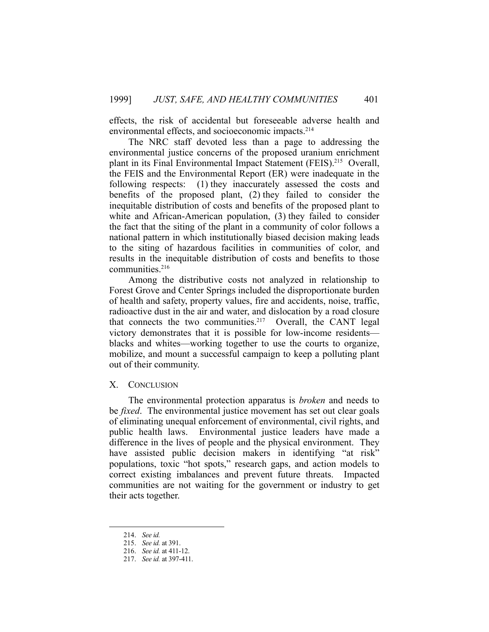effects, the risk of accidental but foreseeable adverse health and environmental effects, and socioeconomic impacts.<sup>214</sup>

 The NRC staff devoted less than a page to addressing the environmental justice concerns of the proposed uranium enrichment plant in its Final Environmental Impact Statement (FEIS).<sup>215</sup> Overall, the FEIS and the Environmental Report (ER) were inadequate in the following respects: (1) they inaccurately assessed the costs and benefits of the proposed plant, (2) they failed to consider the inequitable distribution of costs and benefits of the proposed plant to white and African-American population, (3) they failed to consider the fact that the siting of the plant in a community of color follows a national pattern in which institutionally biased decision making leads to the siting of hazardous facilities in communities of color, and results in the inequitable distribution of costs and benefits to those communities.<sup>216</sup>

 Among the distributive costs not analyzed in relationship to Forest Grove and Center Springs included the disproportionate burden of health and safety, property values, fire and accidents, noise, traffic, radioactive dust in the air and water, and dislocation by a road closure that connects the two communities.<sup>217</sup> Overall, the CANT legal victory demonstrates that it is possible for low-income residents blacks and whites—working together to use the courts to organize, mobilize, and mount a successful campaign to keep a polluting plant out of their community.

#### X. CONCLUSION

 The environmental protection apparatus is *broken* and needs to be *fixed*. The environmental justice movement has set out clear goals of eliminating unequal enforcement of environmental, civil rights, and public health laws. Environmental justice leaders have made a difference in the lives of people and the physical environment. They have assisted public decision makers in identifying "at risk" populations, toxic "hot spots," research gaps, and action models to correct existing imbalances and prevent future threats. Impacted communities are not waiting for the government or industry to get their acts together.

 <sup>214.</sup> *See id.* 

 <sup>215.</sup> *See id.* at 391.

 <sup>216.</sup> *See id.* at 411-12.

 <sup>217.</sup> *See id.* at 397-411.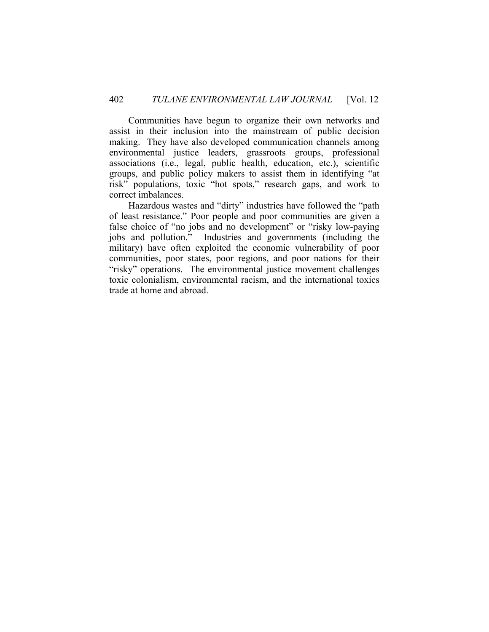Communities have begun to organize their own networks and assist in their inclusion into the mainstream of public decision making. They have also developed communication channels among environmental justice leaders, grassroots groups, professional associations (i.e., legal, public health, education, etc.), scientific groups, and public policy makers to assist them in identifying "at risk" populations, toxic "hot spots," research gaps, and work to correct imbalances.

 Hazardous wastes and "dirty" industries have followed the "path of least resistance." Poor people and poor communities are given a false choice of "no jobs and no development" or "risky low-paying jobs and pollution." Industries and governments (including the military) have often exploited the economic vulnerability of poor communities, poor states, poor regions, and poor nations for their "risky" operations. The environmental justice movement challenges toxic colonialism, environmental racism, and the international toxics trade at home and abroad.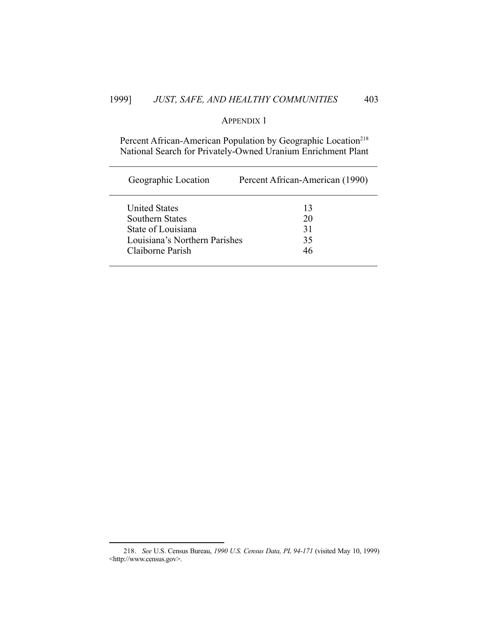## 1999] *JUST, SAFE, AND HEALTHY COMMUNITIES* 403

## APPENDIX 1

Percent African-American Population by Geographic Location<sup>218</sup> National Search for Privately-Owned Uranium Enrichment Plant

| Percent African-American (1990)     |
|-------------------------------------|
| 13                                  |
| 20                                  |
| 31                                  |
| Louisiana's Northern Parishes<br>35 |
| 46                                  |
|                                     |

 <sup>218.</sup> *See* U.S. Census Bureau, *1990 U.S. Census Data, PL 94-171* (visited May 10, 1999) <http://www.census.gov>.